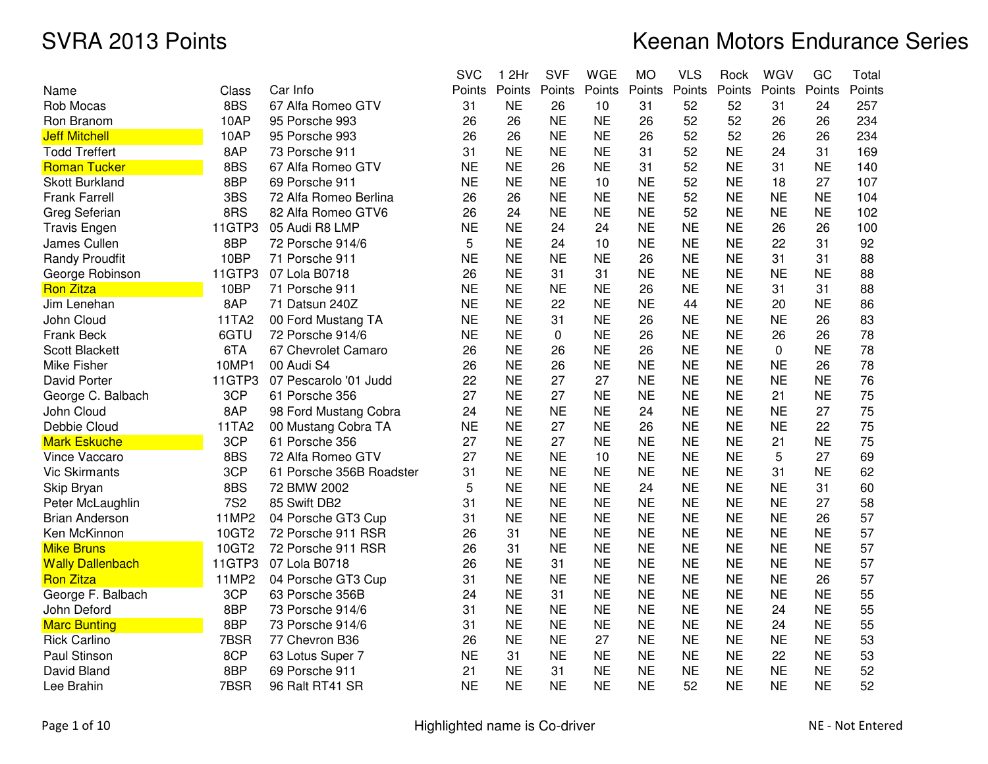|                         |            |                          | <b>SVC</b> | 1 2Hr     | <b>SVF</b> | <b>WGE</b> | <b>MO</b> | <b>VLS</b> | Rock      | WGV       | GC        | Total  |
|-------------------------|------------|--------------------------|------------|-----------|------------|------------|-----------|------------|-----------|-----------|-----------|--------|
| Name                    | Class      | Car Info                 | Points     | Points    | Points     | Points     | Points    | Points     | Points    | Points    | Points    | Points |
| Rob Mocas               | 8BS        | 67 Alfa Romeo GTV        | 31         | <b>NE</b> | 26         | 10         | 31        | 52         | 52        | 31        | 24        | 257    |
| Ron Branom              | 10AP       | 95 Porsche 993           | 26         | 26        | <b>NE</b>  | <b>NE</b>  | 26        | 52         | 52        | 26        | 26        | 234    |
| <b>Jeff Mitchell</b>    | 10AP       | 95 Porsche 993           | 26         | 26        | <b>NE</b>  | <b>NE</b>  | 26        | 52         | 52        | 26        | 26        | 234    |
| <b>Todd Treffert</b>    | 8AP        | 73 Porsche 911           | 31         | <b>NE</b> | <b>NE</b>  | <b>NE</b>  | 31        | 52         | <b>NE</b> | 24        | 31        | 169    |
| <b>Roman Tucker</b>     | 8BS        | 67 Alfa Romeo GTV        | <b>NE</b>  | <b>NE</b> | 26         | <b>NE</b>  | 31        | 52         | <b>NE</b> | 31        | <b>NE</b> | 140    |
| <b>Skott Burkland</b>   | 8BP        | 69 Porsche 911           | <b>NE</b>  | <b>NE</b> | <b>NE</b>  | 10         | <b>NE</b> | 52         | <b>NE</b> | 18        | 27        | 107    |
| <b>Frank Farrell</b>    | 3BS        | 72 Alfa Romeo Berlina    | 26         | 26        | <b>NE</b>  | <b>NE</b>  | <b>NE</b> | 52         | <b>NE</b> | <b>NE</b> | <b>NE</b> | 104    |
| Greg Seferian           | 8RS        | 82 Alfa Romeo GTV6       | 26         | 24        | <b>NE</b>  | <b>NE</b>  | <b>NE</b> | 52         | <b>NE</b> | <b>NE</b> | <b>NE</b> | 102    |
| <b>Travis Engen</b>     | 11GTP3     | 05 Audi R8 LMP           | <b>NE</b>  | <b>NE</b> | 24         | 24         | <b>NE</b> | <b>NE</b>  | <b>NE</b> | 26        | 26        | 100    |
| James Cullen            | 8BP        | 72 Porsche 914/6         | 5          | <b>NE</b> | 24         | 10         | <b>NE</b> | <b>NE</b>  | <b>NE</b> | 22        | 31        | 92     |
| <b>Randy Proudfit</b>   | 10BP       | 71 Porsche 911           | <b>NE</b>  | <b>NE</b> | <b>NE</b>  | <b>NE</b>  | 26        | <b>NE</b>  | <b>NE</b> | 31        | 31        | 88     |
| George Robinson         | 11GTP3     | 07 Lola B0718            | 26         | <b>NE</b> | 31         | 31         | <b>NE</b> | <b>NE</b>  | <b>NE</b> | <b>NE</b> | <b>NE</b> | 88     |
| <b>Ron Zitza</b>        | 10BP       | 71 Porsche 911           | <b>NE</b>  | <b>NE</b> | <b>NE</b>  | <b>NE</b>  | 26        | <b>NE</b>  | <b>NE</b> | 31        | 31        | 88     |
| Jim Lenehan             | 8AP        | 71 Datsun 240Z           | <b>NE</b>  | <b>NE</b> | 22         | <b>NE</b>  | <b>NE</b> | 44         | <b>NE</b> | 20        | <b>NE</b> | 86     |
| John Cloud              | 11TA2      | 00 Ford Mustang TA       | <b>NE</b>  | <b>NE</b> | 31         | <b>NE</b>  | 26        | <b>NE</b>  | <b>NE</b> | <b>NE</b> | 26        | 83     |
| Frank Beck              | 6GTU       | 72 Porsche 914/6         | <b>NE</b>  | <b>NE</b> | 0          | <b>NE</b>  | 26        | <b>NE</b>  | <b>NE</b> | 26        | 26        | 78     |
| <b>Scott Blackett</b>   | 6TA        | 67 Chevrolet Camaro      | 26         | <b>NE</b> | 26         | <b>NE</b>  | 26        | <b>NE</b>  | <b>NE</b> | 0         | <b>NE</b> | 78     |
| Mike Fisher             | 10MP1      | 00 Audi S4               | 26         | <b>NE</b> | 26         | <b>NE</b>  | <b>NE</b> | <b>NE</b>  | <b>NE</b> | <b>NE</b> | 26        | 78     |
| David Porter            | 11GTP3     | 07 Pescarolo '01 Judd    | 22         | <b>NE</b> | 27         | 27         | <b>NE</b> | <b>NE</b>  | <b>NE</b> | <b>NE</b> | <b>NE</b> | 76     |
| George C. Balbach       | 3CP        | 61 Porsche 356           | 27         | <b>NE</b> | 27         | <b>NE</b>  | <b>NE</b> | <b>NE</b>  | <b>NE</b> | 21        | <b>NE</b> | 75     |
| John Cloud              | 8AP        | 98 Ford Mustang Cobra    | 24         | <b>NE</b> | <b>NE</b>  | <b>NE</b>  | 24        | <b>NE</b>  | <b>NE</b> | <b>NE</b> | 27        | 75     |
| Debbie Cloud            | 11TA2      | 00 Mustang Cobra TA      | <b>NE</b>  | <b>NE</b> | 27         | <b>NE</b>  | 26        | <b>NE</b>  | <b>NE</b> | <b>NE</b> | 22        | 75     |
| <b>Mark Eskuche</b>     | 3CP        | 61 Porsche 356           | 27         | <b>NE</b> | 27         | <b>NE</b>  | <b>NE</b> | <b>NE</b>  | <b>NE</b> | 21        | <b>NE</b> | 75     |
| Vince Vaccaro           | 8BS        | 72 Alfa Romeo GTV        | 27         | <b>NE</b> | <b>NE</b>  | 10         | <b>NE</b> | <b>NE</b>  | <b>NE</b> | 5         | 27        | 69     |
| <b>Vic Skirmants</b>    | 3CP        | 61 Porsche 356B Roadster | 31         | <b>NE</b> | <b>NE</b>  | <b>NE</b>  | <b>NE</b> | <b>NE</b>  | <b>NE</b> | 31        | <b>NE</b> | 62     |
| Skip Bryan              | 8BS        | 72 BMW 2002              | 5          | <b>NE</b> | <b>NE</b>  | <b>NE</b>  | 24        | <b>NE</b>  | <b>NE</b> | <b>NE</b> | 31        | 60     |
| Peter McLaughlin        | <b>7S2</b> | 85 Swift DB2             | 31         | <b>NE</b> | <b>NE</b>  | <b>NE</b>  | <b>NE</b> | <b>NE</b>  | <b>NE</b> | <b>NE</b> | 27        | 58     |
| <b>Brian Anderson</b>   | 11MP2      | 04 Porsche GT3 Cup       | 31         | <b>NE</b> | <b>NE</b>  | <b>NE</b>  | <b>NE</b> | <b>NE</b>  | <b>NE</b> | <b>NE</b> | 26        | 57     |
| Ken McKinnon            | 10GT2      | 72 Porsche 911 RSR       | 26         | 31        | <b>NE</b>  | <b>NE</b>  | <b>NE</b> | <b>NE</b>  | <b>NE</b> | <b>NE</b> | <b>NE</b> | 57     |
| <b>Mike Bruns</b>       | 10GT2      | 72 Porsche 911 RSR       | 26         | 31        | <b>NE</b>  | <b>NE</b>  | <b>NE</b> | <b>NE</b>  | <b>NE</b> | <b>NE</b> | <b>NE</b> | 57     |
| <b>Wally Dallenbach</b> | 11GTP3     | 07 Lola B0718            | 26         | <b>NE</b> | 31         | <b>NE</b>  | <b>NE</b> | <b>NE</b>  | <b>NE</b> | <b>NE</b> | <b>NE</b> | 57     |
| <b>Ron Zitza</b>        | 11MP2      | 04 Porsche GT3 Cup       | 31         | <b>NE</b> | <b>NE</b>  | <b>NE</b>  | <b>NE</b> | <b>NE</b>  | <b>NE</b> | <b>NE</b> | 26        | 57     |
| George F. Balbach       | 3CP        | 63 Porsche 356B          | 24         | <b>NE</b> | 31         | <b>NE</b>  | <b>NE</b> | <b>NE</b>  | <b>NE</b> | <b>NE</b> | <b>NE</b> | 55     |
| John Deford             | 8BP        | 73 Porsche 914/6         | 31         | <b>NE</b> | <b>NE</b>  | <b>NE</b>  | <b>NE</b> | <b>NE</b>  | <b>NE</b> | 24        | <b>NE</b> | 55     |
| <b>Marc Bunting</b>     | 8BP        | 73 Porsche 914/6         | 31         | <b>NE</b> | <b>NE</b>  | <b>NE</b>  | <b>NE</b> | <b>NE</b>  | <b>NE</b> | 24        | <b>NE</b> | 55     |
| <b>Rick Carlino</b>     | 7BSR       | 77 Chevron B36           | 26         | <b>NE</b> | <b>NE</b>  | 27         | <b>NE</b> | <b>NE</b>  | <b>NE</b> | <b>NE</b> | <b>NE</b> | 53     |
| Paul Stinson            | 8CP        | 63 Lotus Super 7         | <b>NE</b>  | 31        | <b>NE</b>  | <b>NE</b>  | <b>NE</b> | <b>NE</b>  | <b>NE</b> | 22        | <b>NE</b> | 53     |
| David Bland             | 8BP        | 69 Porsche 911           | 21         | <b>NE</b> | 31         | <b>NE</b>  | <b>NE</b> | <b>NE</b>  | <b>NE</b> | <b>NE</b> | <b>NE</b> | 52     |
| Lee Brahin              | 7BSR       | 96 Ralt RT41 SR          | <b>NE</b>  | <b>NE</b> | <b>NE</b>  | <b>NE</b>  | <b>NE</b> | 52         | <b>NE</b> | <b>NE</b> | <b>NE</b> | 52     |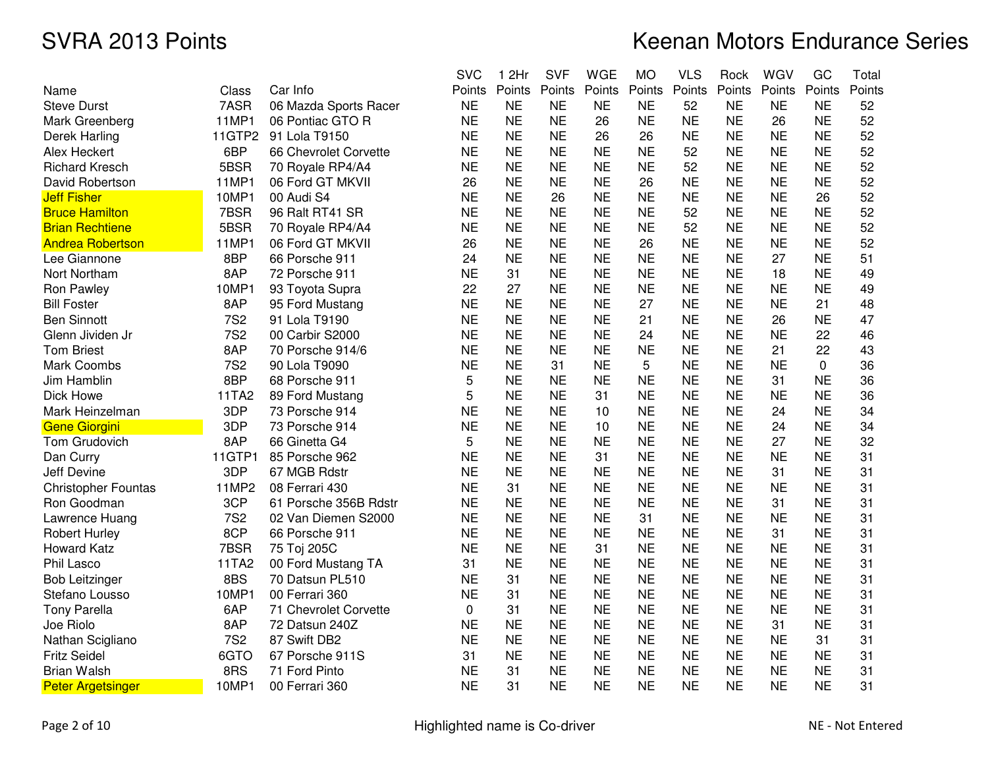|                            |            |                       | <b>SVC</b> | 1 2Hr     | <b>SVF</b> | <b>WGE</b> | <b>MO</b> | <b>VLS</b> | Rock      | WGV       | GC          | Total  |
|----------------------------|------------|-----------------------|------------|-----------|------------|------------|-----------|------------|-----------|-----------|-------------|--------|
| Name                       | Class      | Car Info              | Points     | Points    | Points     | Points     | Points    | Points     | Points    | Points    | Points      | Points |
| <b>Steve Durst</b>         | 7ASR       | 06 Mazda Sports Racer | <b>NE</b>  | <b>NE</b> | <b>NE</b>  | <b>NE</b>  | <b>NE</b> | 52         | <b>NE</b> | <b>NE</b> | <b>NE</b>   | 52     |
| Mark Greenberg             | 11MP1      | 06 Pontiac GTO R      | <b>NE</b>  | <b>NE</b> | <b>NE</b>  | 26         | <b>NE</b> | <b>NE</b>  | <b>NE</b> | 26        | <b>NE</b>   | 52     |
| Derek Harling              | 11GTP2     | 91 Lola T9150         | <b>NE</b>  | <b>NE</b> | <b>NE</b>  | 26         | 26        | <b>NE</b>  | <b>NE</b> | <b>NE</b> | <b>NE</b>   | 52     |
| Alex Heckert               | 6BP        | 66 Chevrolet Corvette | <b>NE</b>  | <b>NE</b> | <b>NE</b>  | <b>NE</b>  | <b>NE</b> | 52         | <b>NE</b> | <b>NE</b> | <b>NE</b>   | 52     |
| <b>Richard Kresch</b>      | 5BSR       | 70 Royale RP4/A4      | <b>NE</b>  | <b>NE</b> | <b>NE</b>  | <b>NE</b>  | <b>NE</b> | 52         | <b>NE</b> | <b>NE</b> | <b>NE</b>   | 52     |
| David Robertson            | 11MP1      | 06 Ford GT MKVII      | 26         | <b>NE</b> | <b>NE</b>  | <b>NE</b>  | 26        | <b>NE</b>  | <b>NE</b> | <b>NE</b> | <b>NE</b>   | 52     |
| <b>Jeff Fisher</b>         | 10MP1      | 00 Audi S4            | <b>NE</b>  | <b>NE</b> | 26         | <b>NE</b>  | <b>NE</b> | <b>NE</b>  | <b>NE</b> | <b>NE</b> | 26          | 52     |
| <b>Bruce Hamilton</b>      | 7BSR       | 96 Ralt RT41 SR       | <b>NE</b>  | <b>NE</b> | <b>NE</b>  | <b>NE</b>  | <b>NE</b> | 52         | <b>NE</b> | <b>NE</b> | <b>NE</b>   | 52     |
| <b>Brian Rechtiene</b>     | 5BSR       | 70 Royale RP4/A4      | <b>NE</b>  | <b>NE</b> | <b>NE</b>  | <b>NE</b>  | <b>NE</b> | 52         | <b>NE</b> | <b>NE</b> | <b>NE</b>   | 52     |
| <b>Andrea Robertson</b>    | 11MP1      | 06 Ford GT MKVII      | 26         | <b>NE</b> | <b>NE</b>  | <b>NE</b>  | 26        | <b>NE</b>  | <b>NE</b> | <b>NE</b> | <b>NE</b>   | 52     |
| Lee Giannone               | 8BP        | 66 Porsche 911        | 24         | <b>NE</b> | <b>NE</b>  | <b>NE</b>  | <b>NE</b> | <b>NE</b>  | <b>NE</b> | 27        | <b>NE</b>   | 51     |
| Nort Northam               | 8AP        | 72 Porsche 911        | <b>NE</b>  | 31        | <b>NE</b>  | <b>NE</b>  | <b>NE</b> | <b>NE</b>  | <b>NE</b> | 18        | <b>NE</b>   | 49     |
| Ron Pawley                 | 10MP1      | 93 Toyota Supra       | 22         | 27        | <b>NE</b>  | <b>NE</b>  | <b>NE</b> | <b>NE</b>  | <b>NE</b> | <b>NE</b> | <b>NE</b>   | 49     |
| <b>Bill Foster</b>         | 8AP        | 95 Ford Mustang       | <b>NE</b>  | <b>NE</b> | <b>NE</b>  | <b>NE</b>  | 27        | <b>NE</b>  | <b>NE</b> | <b>NE</b> | 21          | 48     |
| <b>Ben Sinnott</b>         | <b>7S2</b> | 91 Lola T9190         | <b>NE</b>  | <b>NE</b> | <b>NE</b>  | <b>NE</b>  | 21        | <b>NE</b>  | <b>NE</b> | 26        | <b>NE</b>   | 47     |
| Glenn Jividen Jr           | <b>7S2</b> | 00 Carbir S2000       | <b>NE</b>  | <b>NE</b> | <b>NE</b>  | <b>NE</b>  | 24        | <b>NE</b>  | <b>NE</b> | <b>NE</b> | 22          | 46     |
| <b>Tom Briest</b>          | 8AP        | 70 Porsche 914/6      | <b>NE</b>  | <b>NE</b> | <b>NE</b>  | <b>NE</b>  | <b>NE</b> | <b>NE</b>  | <b>NE</b> | 21        | 22          | 43     |
| Mark Coombs                | <b>7S2</b> | 90 Lola T9090         | <b>NE</b>  | <b>NE</b> | 31         | <b>NE</b>  | 5         | <b>NE</b>  | <b>NE</b> | <b>NE</b> | $\mathbf 0$ | 36     |
| Jim Hamblin                | 8BP        | 68 Porsche 911        | 5          | <b>NE</b> | <b>NE</b>  | <b>NE</b>  | <b>NE</b> | <b>NE</b>  | <b>NE</b> | 31        | <b>NE</b>   | 36     |
| Dick Howe                  | 11TA2      | 89 Ford Mustang       | 5          | <b>NE</b> | <b>NE</b>  | 31         | <b>NE</b> | <b>NE</b>  | <b>NE</b> | <b>NE</b> | <b>NE</b>   | 36     |
| Mark Heinzelman            | 3DP        | 73 Porsche 914        | <b>NE</b>  | <b>NE</b> | <b>NE</b>  | 10         | <b>NE</b> | <b>NE</b>  | <b>NE</b> | 24        | <b>NE</b>   | 34     |
| <b>Gene Giorgini</b>       | 3DP        | 73 Porsche 914        | <b>NE</b>  | <b>NE</b> | <b>NE</b>  | 10         | <b>NE</b> | <b>NE</b>  | <b>NE</b> | 24        | <b>NE</b>   | 34     |
| Tom Grudovich              | 8AP        | 66 Ginetta G4         | 5          | <b>NE</b> | <b>NE</b>  | <b>NE</b>  | <b>NE</b> | <b>NE</b>  | <b>NE</b> | 27        | <b>NE</b>   | 32     |
| Dan Curry                  | 11GTP1     | 85 Porsche 962        | <b>NE</b>  | <b>NE</b> | <b>NE</b>  | 31         | <b>NE</b> | <b>NE</b>  | <b>NE</b> | <b>NE</b> | <b>NE</b>   | 31     |
| <b>Jeff Devine</b>         | 3DP        | 67 MGB Rdstr          | <b>NE</b>  | <b>NE</b> | <b>NE</b>  | <b>NE</b>  | <b>NE</b> | <b>NE</b>  | <b>NE</b> | 31        | <b>NE</b>   | 31     |
| <b>Christopher Fountas</b> | 11MP2      | 08 Ferrari 430        | <b>NE</b>  | 31        | <b>NE</b>  | <b>NE</b>  | <b>NE</b> | <b>NE</b>  | <b>NE</b> | <b>NE</b> | <b>NE</b>   | 31     |
| Ron Goodman                | 3CP        | 61 Porsche 356B Rdstr | <b>NE</b>  | <b>NE</b> | <b>NE</b>  | <b>NE</b>  | <b>NE</b> | <b>NE</b>  | <b>NE</b> | 31        | <b>NE</b>   | 31     |
| Lawrence Huang             | <b>7S2</b> | 02 Van Diemen S2000   | <b>NE</b>  | <b>NE</b> | <b>NE</b>  | <b>NE</b>  | 31        | <b>NE</b>  | <b>NE</b> | <b>NE</b> | <b>NE</b>   | 31     |
| <b>Robert Hurley</b>       | 8CP        | 66 Porsche 911        | <b>NE</b>  | <b>NE</b> | <b>NE</b>  | <b>NE</b>  | <b>NE</b> | <b>NE</b>  | <b>NE</b> | 31        | <b>NE</b>   | 31     |
| <b>Howard Katz</b>         | 7BSR       | 75 Toj 205C           | <b>NE</b>  | <b>NE</b> | <b>NE</b>  | 31         | <b>NE</b> | <b>NE</b>  | <b>NE</b> | <b>NE</b> | <b>NE</b>   | 31     |
| Phil Lasco                 | 11TA2      | 00 Ford Mustang TA    | 31         | <b>NE</b> | <b>NE</b>  | <b>NE</b>  | <b>NE</b> | <b>NE</b>  | <b>NE</b> | <b>NE</b> | <b>NE</b>   | 31     |
| <b>Bob Leitzinger</b>      | 8BS        | 70 Datsun PL510       | <b>NE</b>  | 31        | <b>NE</b>  | <b>NE</b>  | <b>NE</b> | <b>NE</b>  | <b>NE</b> | <b>NE</b> | <b>NE</b>   | 31     |
| Stefano Lousso             | 10MP1      | 00 Ferrari 360        | <b>NE</b>  | 31        | <b>NE</b>  | <b>NE</b>  | <b>NE</b> | <b>NE</b>  | <b>NE</b> | <b>NE</b> | <b>NE</b>   | 31     |
| <b>Tony Parella</b>        | 6AP        | 71 Chevrolet Corvette | 0          | 31        | <b>NE</b>  | <b>NE</b>  | <b>NE</b> | <b>NE</b>  | <b>NE</b> | <b>NE</b> | <b>NE</b>   | 31     |
| Joe Riolo                  | 8AP        | 72 Datsun 240Z        | <b>NE</b>  | <b>NE</b> | <b>NE</b>  | <b>NE</b>  | <b>NE</b> | <b>NE</b>  | <b>NE</b> | 31        | <b>NE</b>   | 31     |
| Nathan Scigliano           | <b>7S2</b> | 87 Swift DB2          | <b>NE</b>  | <b>NE</b> | <b>NE</b>  | <b>NE</b>  | <b>NE</b> | <b>NE</b>  | <b>NE</b> | <b>NE</b> | 31          | 31     |
| <b>Fritz Seidel</b>        | 6GTO       | 67 Porsche 911S       | 31         | <b>NE</b> | <b>NE</b>  | <b>NE</b>  | <b>NE</b> | <b>NE</b>  | <b>NE</b> | <b>NE</b> | <b>NE</b>   | 31     |
| <b>Brian Walsh</b>         | 8RS        | 71 Ford Pinto         | <b>NE</b>  | 31        | <b>NE</b>  | <b>NE</b>  | <b>NE</b> | <b>NE</b>  | <b>NE</b> | <b>NE</b> | <b>NE</b>   | 31     |
| <b>Peter Argetsinger</b>   | 10MP1      | 00 Ferrari 360        | <b>NE</b>  | 31        | <b>NE</b>  | <b>NE</b>  | <b>NE</b> | <b>NE</b>  | <b>NE</b> | <b>NE</b> | <b>NE</b>   | 31     |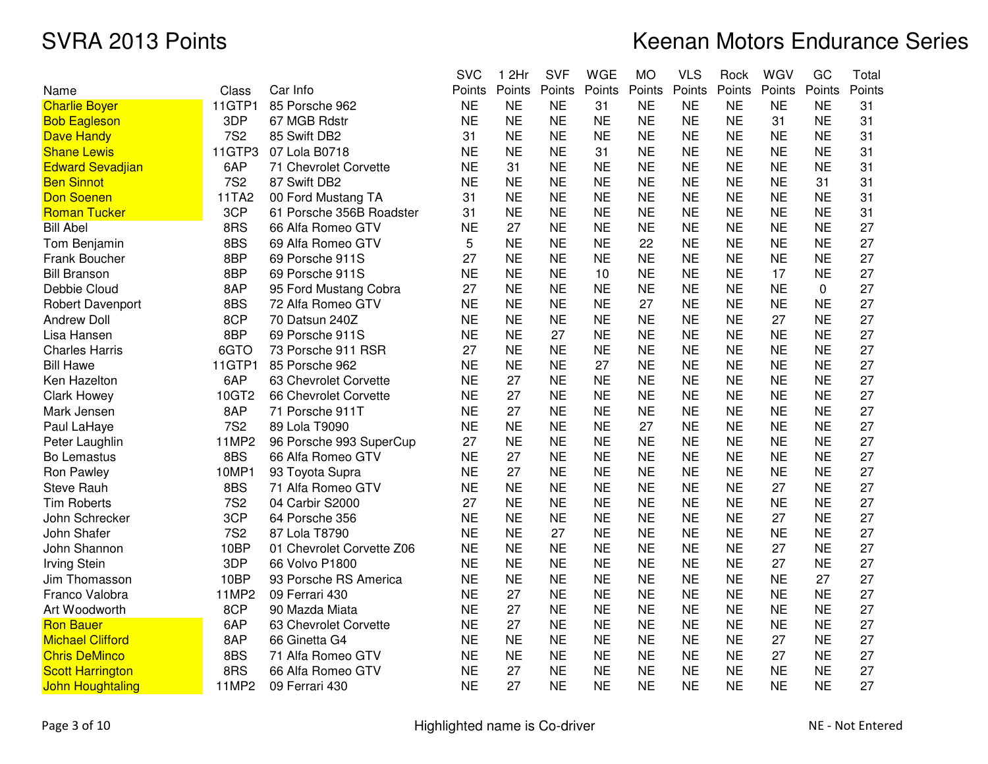|                         |              |                           | <b>SVC</b> | 1 2Hr     | <b>SVF</b> | <b>WGE</b> | <b>MO</b> | <b>VLS</b> | Rock      | WGV       | GC        | Total  |
|-------------------------|--------------|---------------------------|------------|-----------|------------|------------|-----------|------------|-----------|-----------|-----------|--------|
| Name                    | Class        | Car Info                  | Points     | Points    | Points     | Points     | Points    | Points     | Points    | Points    | Points    | Points |
| <b>Charlie Boyer</b>    | 11GTP1       | 85 Porsche 962            | <b>NE</b>  | <b>NE</b> | NE         | 31         | <b>NE</b> | <b>NE</b>  | <b>NE</b> | <b>NE</b> | <b>NE</b> | 31     |
| <b>Bob Eagleson</b>     | 3DP          | 67 MGB Rdstr              | <b>NE</b>  | <b>NE</b> | <b>NE</b>  | <b>NE</b>  | <b>NE</b> | <b>NE</b>  | <b>NE</b> | 31        | <b>NE</b> | 31     |
| <b>Dave Handy</b>       | <b>7S2</b>   | 85 Swift DB2              | 31         | <b>NE</b> | <b>NE</b>  | <b>NE</b>  | <b>NE</b> | <b>NE</b>  | <b>NE</b> | <b>NE</b> | <b>NE</b> | 31     |
| <b>Shane Lewis</b>      | 11GTP3       | 07 Lola B0718             | <b>NE</b>  | <b>NE</b> | <b>NE</b>  | 31         | <b>NE</b> | <b>NE</b>  | <b>NE</b> | <b>NE</b> | <b>NE</b> | 31     |
| <b>Edward Sevadjian</b> | 6AP          | 71 Chevrolet Corvette     | <b>NE</b>  | 31        | <b>NE</b>  | <b>NE</b>  | <b>NE</b> | <b>NE</b>  | <b>NE</b> | <b>NE</b> | <b>NE</b> | 31     |
| <b>Ben Sinnot</b>       | <b>7S2</b>   | 87 Swift DB2              | <b>NE</b>  | <b>NE</b> | <b>NE</b>  | <b>NE</b>  | <b>NE</b> | <b>NE</b>  | <b>NE</b> | NE        | 31        | 31     |
| <b>Don Soenen</b>       | 11TA2        | 00 Ford Mustang TA        | 31         | <b>NE</b> | <b>NE</b>  | <b>NE</b>  | <b>NE</b> | <b>NE</b>  | <b>NE</b> | <b>NE</b> | <b>NE</b> | 31     |
| <b>Roman Tucker</b>     | 3CP          | 61 Porsche 356B Roadster  | 31         | <b>NE</b> | <b>NE</b>  | <b>NE</b>  | <b>NE</b> | <b>NE</b>  | <b>NE</b> | <b>NE</b> | <b>NE</b> | 31     |
| <b>Bill Abel</b>        | 8RS          | 66 Alfa Romeo GTV         | <b>NE</b>  | 27        | <b>NE</b>  | <b>NE</b>  | <b>NE</b> | <b>NE</b>  | <b>NE</b> | <b>NE</b> | <b>NE</b> | 27     |
| Tom Benjamin            | 8BS          | 69 Alfa Romeo GTV         | 5          | <b>NE</b> | <b>NE</b>  | <b>NE</b>  | 22        | <b>NE</b>  | <b>NE</b> | <b>NE</b> | <b>NE</b> | 27     |
| Frank Boucher           | 8BP          | 69 Porsche 911S           | 27         | <b>NE</b> | <b>NE</b>  | <b>NE</b>  | <b>NE</b> | <b>NE</b>  | <b>NE</b> | <b>NE</b> | <b>NE</b> | 27     |
| <b>Bill Branson</b>     | 8BP          | 69 Porsche 911S           | <b>NE</b>  | <b>NE</b> | <b>NE</b>  | 10         | <b>NE</b> | <b>NE</b>  | <b>NE</b> | 17        | <b>NE</b> | 27     |
| Debbie Cloud            | 8AP          | 95 Ford Mustang Cobra     | 27         | <b>NE</b> | <b>NE</b>  | <b>NE</b>  | <b>NE</b> | <b>NE</b>  | <b>NE</b> | <b>NE</b> | 0         | 27     |
| Robert Davenport        | 8BS          | 72 Alfa Romeo GTV         | <b>NE</b>  | <b>NE</b> | <b>NE</b>  | <b>NE</b>  | 27        | <b>NE</b>  | <b>NE</b> | <b>NE</b> | <b>NE</b> | 27     |
| <b>Andrew Doll</b>      | 8CP          | 70 Datsun 240Z            | <b>NE</b>  | <b>NE</b> | <b>NE</b>  | <b>NE</b>  | <b>NE</b> | <b>NE</b>  | <b>NE</b> | 27        | <b>NE</b> | 27     |
| Lisa Hansen             | 8BP          | 69 Porsche 911S           | <b>NE</b>  | <b>NE</b> | 27         | <b>NE</b>  | <b>NE</b> | <b>NE</b>  | <b>NE</b> | <b>NE</b> | <b>NE</b> | 27     |
| <b>Charles Harris</b>   | 6GTO         | 73 Porsche 911 RSR        | 27         | <b>NE</b> | <b>NE</b>  | <b>NE</b>  | <b>NE</b> | <b>NE</b>  | <b>NE</b> | <b>NE</b> | <b>NE</b> | 27     |
| <b>Bill Hawe</b>        | 11GTP1       | 85 Porsche 962            | <b>NE</b>  | <b>NE</b> | <b>NE</b>  | 27         | <b>NE</b> | <b>NE</b>  | <b>NE</b> | <b>NE</b> | <b>NE</b> | 27     |
| Ken Hazelton            | 6AP          | 63 Chevrolet Corvette     | <b>NE</b>  | 27        | <b>NE</b>  | <b>NE</b>  | <b>NE</b> | <b>NE</b>  | <b>NE</b> | <b>NE</b> | <b>NE</b> | 27     |
| <b>Clark Howey</b>      | 10GT2        | 66 Chevrolet Corvette     | <b>NE</b>  | 27        | <b>NE</b>  | <b>NE</b>  | <b>NE</b> | <b>NE</b>  | <b>NE</b> | <b>NE</b> | <b>NE</b> | 27     |
| Mark Jensen             | 8AP          | 71 Porsche 911T           | <b>NE</b>  | 27        | <b>NE</b>  | <b>NE</b>  | <b>NE</b> | <b>NE</b>  | <b>NE</b> | <b>NE</b> | <b>NE</b> | 27     |
| Paul LaHaye             | <b>7S2</b>   | 89 Lola T9090             | <b>NE</b>  | <b>NE</b> | <b>NE</b>  | <b>NE</b>  | 27        | <b>NE</b>  | <b>NE</b> | <b>NE</b> | <b>NE</b> | 27     |
| Peter Laughlin          | 11MP2        | 96 Porsche 993 SuperCup   | 27         | <b>NE</b> | <b>NE</b>  | <b>NE</b>  | <b>NE</b> | <b>NE</b>  | <b>NE</b> | <b>NE</b> | <b>NE</b> | 27     |
| Bo Lemastus             | 8BS          | 66 Alfa Romeo GTV         | <b>NE</b>  | 27        | <b>NE</b>  | <b>NE</b>  | <b>NE</b> | <b>NE</b>  | <b>NE</b> | <b>NE</b> | <b>NE</b> | 27     |
| Ron Pawley              | 10MP1        | 93 Toyota Supra           | <b>NE</b>  | 27        | <b>NE</b>  | <b>NE</b>  | <b>NE</b> | <b>NE</b>  | <b>NE</b> | <b>NE</b> | <b>NE</b> | 27     |
| <b>Steve Rauh</b>       | 8BS          | 71 Alfa Romeo GTV         | <b>NE</b>  | <b>NE</b> | <b>NE</b>  | <b>NE</b>  | <b>NE</b> | <b>NE</b>  | <b>NE</b> | 27        | <b>NE</b> | 27     |
| <b>Tim Roberts</b>      | <b>7S2</b>   | 04 Carbir S2000           | 27         | <b>NE</b> | <b>NE</b>  | <b>NE</b>  | <b>NE</b> | <b>NE</b>  | <b>NE</b> | NE        | <b>NE</b> | 27     |
| John Schrecker          | 3CP          | 64 Porsche 356            | <b>NE</b>  | <b>NE</b> | <b>NE</b>  | <b>NE</b>  | <b>NE</b> | <b>NE</b>  | <b>NE</b> | 27        | NE        | 27     |
| John Shafer             | <b>7S2</b>   | 87 Lola T8790             | <b>NE</b>  | <b>NE</b> | 27         | <b>NE</b>  | <b>NE</b> | <b>NE</b>  | <b>NE</b> | <b>NE</b> | <b>NE</b> | 27     |
| John Shannon            | 10BP         | 01 Chevrolet Corvette Z06 | <b>NE</b>  | <b>NE</b> | <b>NE</b>  | <b>NE</b>  | <b>NE</b> | <b>NE</b>  | <b>NE</b> | 27        | <b>NE</b> | 27     |
| <b>Irving Stein</b>     | 3DP          | 66 Volvo P1800            | <b>NE</b>  | <b>NE</b> | <b>NE</b>  | <b>NE</b>  | <b>NE</b> | <b>NE</b>  | <b>NE</b> | 27        | <b>NE</b> | 27     |
| Jim Thomasson           | 10BP         | 93 Porsche RS America     | <b>NE</b>  | <b>NE</b> | <b>NE</b>  | <b>NE</b>  | <b>NE</b> | <b>NE</b>  | <b>NE</b> | <b>NE</b> | 27        | 27     |
| Franco Valobra          | <b>11MP2</b> | 09 Ferrari 430            | <b>NE</b>  | 27        | <b>NE</b>  | <b>NE</b>  | <b>NE</b> | <b>NE</b>  | <b>NE</b> | <b>NE</b> | <b>NE</b> | 27     |
| Art Woodworth           | 8CP          | 90 Mazda Miata            | <b>NE</b>  | 27        | <b>NE</b>  | <b>NE</b>  | <b>NE</b> | <b>NE</b>  | <b>NE</b> | <b>NE</b> | <b>NE</b> | 27     |
| <b>Ron Bauer</b>        | 6AP          | 63 Chevrolet Corvette     | <b>NE</b>  | 27        | <b>NE</b>  | <b>NE</b>  | <b>NE</b> | <b>NE</b>  | <b>NE</b> | <b>NE</b> | <b>NE</b> | 27     |
| <b>Michael Clifford</b> | 8AP          | 66 Ginetta G4             | <b>NE</b>  | <b>NE</b> | <b>NE</b>  | <b>NE</b>  | <b>NE</b> | <b>NE</b>  | <b>NE</b> | 27        | <b>NE</b> | 27     |
| <b>Chris DeMinco</b>    | 8BS          | 71 Alfa Romeo GTV         | <b>NE</b>  | <b>NE</b> | <b>NE</b>  | <b>NE</b>  | <b>NE</b> | <b>NE</b>  | <b>NE</b> | 27        | <b>NE</b> | 27     |
| <b>Scott Harrington</b> | 8RS          | 66 Alfa Romeo GTV         | <b>NE</b>  | 27        | <b>NE</b>  | <b>NE</b>  | <b>NE</b> | <b>NE</b>  | <b>NE</b> | <b>NE</b> | <b>NE</b> | 27     |
| <b>John Houghtaling</b> | 11MP2        | 09 Ferrari 430            | <b>NE</b>  | 27        | <b>NE</b>  | <b>NE</b>  | <b>NE</b> | <b>NE</b>  | <b>NE</b> | <b>NE</b> | <b>NE</b> | 27     |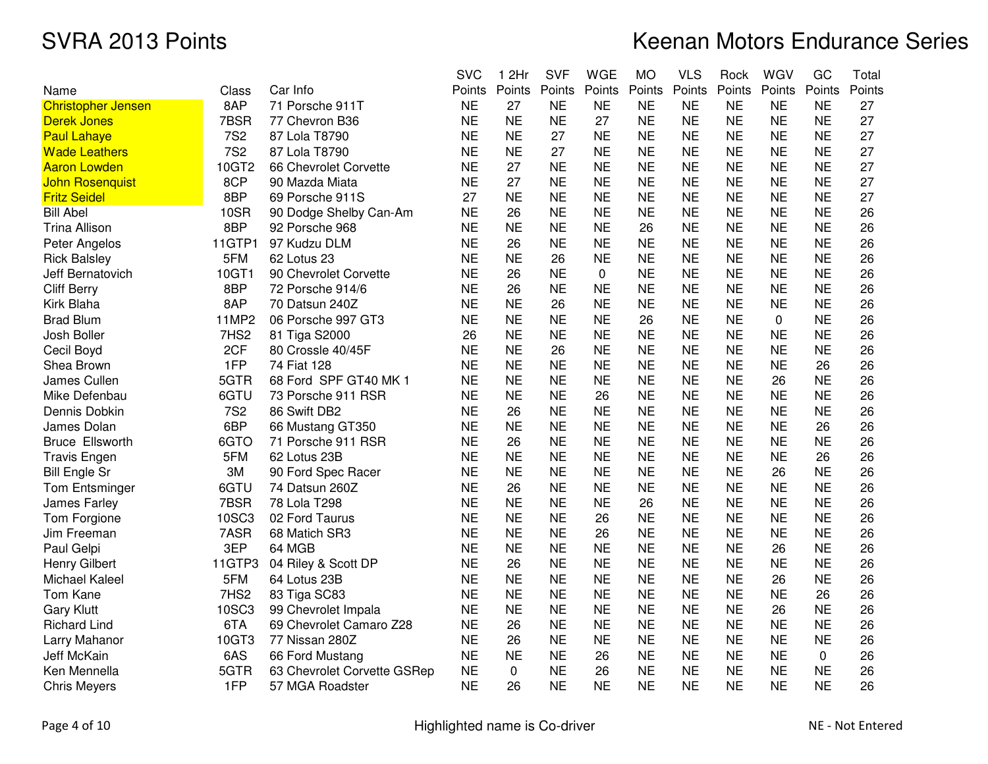|                        |            |                             | <b>SVC</b> | 2Hr<br>1  | <b>SVF</b> | <b>WGE</b> | <b>MO</b> | <b>VLS</b> | Rock      | WGV            | GC        | Total  |
|------------------------|------------|-----------------------------|------------|-----------|------------|------------|-----------|------------|-----------|----------------|-----------|--------|
| Name                   | Class      | Car Info                    | Points     | Points    | Points     | Points     | Points    | Points     | Points    | Points         | Points    | Points |
| Christopher Jensen     | 8AP        | 71 Porsche 911T             | <b>NE</b>  | 27        | <b>NE</b>  | <b>NE</b>  | <b>NE</b> | <b>NE</b>  | <b>NE</b> | <b>NE</b>      | <b>NE</b> | 27     |
| Derek Jones            | 7BSR       | 77 Chevron B36              | <b>NE</b>  | <b>NE</b> | <b>NE</b>  | 27         | <b>NE</b> | <b>NE</b>  | <b>NE</b> | <b>NE</b>      | <b>NE</b> | 27     |
| <b>Paul Lahaye</b>     | <b>7S2</b> | 87 Lola T8790               | <b>NE</b>  | <b>NE</b> | 27         | <b>NE</b>  | <b>NE</b> | <b>NE</b>  | <b>NE</b> | <b>NE</b>      | <b>NE</b> | 27     |
| <b>Wade Leathers</b>   | <b>7S2</b> | 87 Lola T8790               | <b>NE</b>  | <b>NE</b> | 27         | <b>NE</b>  | <b>NE</b> | <b>NE</b>  | <b>NE</b> | <b>NE</b>      | <b>NE</b> | 27     |
| Aaron Lowden           | 10GT2      | 66 Chevrolet Corvette       | <b>NE</b>  | 27        | <b>NE</b>  | <b>NE</b>  | <b>NE</b> | <b>NE</b>  | <b>NE</b> | <b>NE</b>      | <b>NE</b> | 27     |
| John Rosenquist        | 8CP        | 90 Mazda Miata              | <b>NE</b>  | 27        | <b>NE</b>  | <b>NE</b>  | <b>NE</b> | <b>NE</b>  | <b>NE</b> | <b>NE</b>      | <b>NE</b> | 27     |
| <b>Fritz Seidel</b>    | 8BP        | 69 Porsche 911S             | 27         | <b>NE</b> | <b>NE</b>  | <b>NE</b>  | <b>NE</b> | <b>NE</b>  | <b>NE</b> | <b>NE</b>      | <b>NE</b> | 27     |
| <b>Bill Abel</b>       | 10SR       | 90 Dodge Shelby Can-Am      | <b>NE</b>  | 26        | <b>NE</b>  | <b>NE</b>  | <b>NE</b> | <b>NE</b>  | <b>NE</b> | <b>NE</b>      | <b>NE</b> | 26     |
| Trina Allison          | 8BP        | 92 Porsche 968              | <b>NE</b>  | <b>NE</b> | <b>NE</b>  | <b>NE</b>  | 26        | <b>NE</b>  | <b>NE</b> | <b>NE</b>      | <b>NE</b> | 26     |
| Peter Angelos          | 11GTP1     | 97 Kudzu DLM                | <b>NE</b>  | 26        | <b>NE</b>  | <b>NE</b>  | <b>NE</b> | <b>NE</b>  | <b>NE</b> | <b>NE</b>      | <b>NE</b> | 26     |
| <b>Rick Balsley</b>    | 5FM        | 62 Lotus 23                 | <b>NE</b>  | <b>NE</b> | 26         | <b>NE</b>  | <b>NE</b> | <b>NE</b>  | <b>NE</b> | <b>NE</b>      | <b>NE</b> | 26     |
| Jeff Bernatovich       | 10GT1      | 90 Chevrolet Corvette       | <b>NE</b>  | 26        | <b>NE</b>  | 0          | <b>NE</b> | <b>NE</b>  | <b>NE</b> | <b>NE</b>      | <b>NE</b> | 26     |
| <b>Cliff Berry</b>     | 8BP        | 72 Porsche 914/6            | <b>NE</b>  | 26        | <b>NE</b>  | <b>NE</b>  | <b>NE</b> | <b>NE</b>  | <b>NE</b> | <b>NE</b>      | <b>NE</b> | 26     |
| Kirk Blaha             | 8AP        | 70 Datsun 240Z              | <b>NE</b>  | <b>NE</b> | 26         | <b>NE</b>  | <b>NE</b> | <b>NE</b>  | <b>NE</b> | <b>NE</b>      | <b>NE</b> | 26     |
| <b>Brad Blum</b>       | 11MP2      | 06 Porsche 997 GT3          | <b>NE</b>  | <b>NE</b> | <b>NE</b>  | <b>NE</b>  | 26        | <b>NE</b>  | <b>NE</b> | $\overline{0}$ | <b>NE</b> | 26     |
| Josh Boller            | 7HS2       | 81 Tiga S2000               | 26         | <b>NE</b> | <b>NE</b>  | <b>NE</b>  | <b>NE</b> | <b>NE</b>  | <b>NE</b> | <b>NE</b>      | <b>NE</b> | 26     |
| Cecil Boyd             | 2CF        | 80 Crossle 40/45F           | <b>NE</b>  | <b>NE</b> | 26         | <b>NE</b>  | <b>NE</b> | <b>NE</b>  | <b>NE</b> | <b>NE</b>      | <b>NE</b> | 26     |
| Shea Brown             | 1FP        | 74 Fiat 128                 | <b>NE</b>  | <b>NE</b> | NE         | <b>NE</b>  | <b>NE</b> | NE         | <b>NE</b> | <b>NE</b>      | 26        | 26     |
| James Cullen           | 5GTR       | 68 Ford SPF GT40 MK 1       | <b>NE</b>  | <b>NE</b> | <b>NE</b>  | <b>NE</b>  | <b>NE</b> | <b>NE</b>  | <b>NE</b> | 26             | <b>NE</b> | 26     |
| Mike Defenbau          | 6GTU       | 73 Porsche 911 RSR          | <b>NE</b>  | <b>NE</b> | <b>NE</b>  | 26         | <b>NE</b> | <b>NE</b>  | <b>NE</b> | <b>NE</b>      | <b>NE</b> | 26     |
| Dennis Dobkin          | <b>7S2</b> | 86 Swift DB2                | <b>NE</b>  | 26        | <b>NE</b>  | <b>NE</b>  | <b>NE</b> | <b>NE</b>  | <b>NE</b> | <b>NE</b>      | <b>NE</b> | 26     |
| James Dolan            | 6BP        | 66 Mustang GT350            | <b>NE</b>  | <b>NE</b> | <b>NE</b>  | <b>NE</b>  | <b>NE</b> | <b>NE</b>  | <b>NE</b> | <b>NE</b>      | 26        | 26     |
| <b>Bruce Ellsworth</b> | 6GTO       | 71 Porsche 911 RSR          | <b>NE</b>  | 26        | <b>NE</b>  | <b>NE</b>  | <b>NE</b> | <b>NE</b>  | <b>NE</b> | <b>NE</b>      | <b>NE</b> | 26     |
| <b>Travis Engen</b>    | 5FM        | 62 Lotus 23B                | <b>NE</b>  | <b>NE</b> | <b>NE</b>  | <b>NE</b>  | <b>NE</b> | <b>NE</b>  | <b>NE</b> | <b>NE</b>      | 26        | 26     |
| Bill Engle Sr          | 3M         | 90 Ford Spec Racer          | <b>NE</b>  | <b>NE</b> | <b>NE</b>  | <b>NE</b>  | <b>NE</b> | <b>NE</b>  | <b>NE</b> | 26             | <b>NE</b> | 26     |
| <b>Tom Entsminger</b>  | 6GTU       | 74 Datsun 260Z              | <b>NE</b>  | 26        | <b>NE</b>  | <b>NE</b>  | <b>NE</b> | <b>NE</b>  | <b>NE</b> | <b>NE</b>      | <b>NE</b> | 26     |
| James Farley           | 7BSR       | 78 Lola T298                | <b>NE</b>  | <b>NE</b> | <b>NE</b>  | <b>NE</b>  | 26        | <b>NE</b>  | <b>NE</b> | <b>NE</b>      | <b>NE</b> | 26     |
| Tom Forgione           | 10SC3      | 02 Ford Taurus              | <b>NE</b>  | <b>NE</b> | <b>NE</b>  | 26         | <b>NE</b> | <b>NE</b>  | <b>NE</b> | <b>NE</b>      | <b>NE</b> | 26     |
| Jim Freeman            | 7ASR       | 68 Matich SR3               | <b>NE</b>  | <b>NE</b> | <b>NE</b>  | 26         | <b>NE</b> | <b>NE</b>  | <b>NE</b> | <b>NE</b>      | <b>NE</b> | 26     |
| Paul Gelpi             | 3EP        | 64 MGB                      | <b>NE</b>  | <b>NE</b> | <b>NE</b>  | <b>NE</b>  | <b>NE</b> | <b>NE</b>  | <b>NE</b> | 26             | <b>NE</b> | 26     |
| Henry Gilbert          | 11GTP3     | 04 Riley & Scott DP         | <b>NE</b>  | 26        | <b>NE</b>  | <b>NE</b>  | <b>NE</b> | <b>NE</b>  | <b>NE</b> | <b>NE</b>      | <b>NE</b> | 26     |
| Michael Kaleel         | 5FM        | 64 Lotus 23B                | <b>NE</b>  | <b>NE</b> | <b>NE</b>  | <b>NE</b>  | <b>NE</b> | <b>NE</b>  | <b>NE</b> | 26             | <b>NE</b> | 26     |
| Tom Kane               | 7HS2       | 83 Tiga SC83                | <b>NE</b>  | <b>NE</b> | <b>NE</b>  | <b>NE</b>  | <b>NE</b> | <b>NE</b>  | <b>NE</b> | <b>NE</b>      | 26        | 26     |
| Gary Klutt             | 10SC3      | 99 Chevrolet Impala         | <b>NE</b>  | <b>NE</b> | <b>NE</b>  | <b>NE</b>  | <b>NE</b> | <b>NE</b>  | <b>NE</b> | 26             | <b>NE</b> | 26     |
| <b>Richard Lind</b>    | 6TA        | 69 Chevrolet Camaro Z28     | <b>NE</b>  | 26        | <b>NE</b>  | <b>NE</b>  | <b>NE</b> | <b>NE</b>  | <b>NE</b> | <b>NE</b>      | <b>NE</b> | 26     |
| Larry Mahanor          | 10GT3      | 77 Nissan 280Z              | <b>NE</b>  | 26        | <b>NE</b>  | <b>NE</b>  | <b>NE</b> | <b>NE</b>  | <b>NE</b> | <b>NE</b>      | <b>NE</b> | 26     |
| Jeff McKain            | 6AS        | 66 Ford Mustang             | <b>NE</b>  | <b>NE</b> | <b>NE</b>  | 26         | <b>NE</b> | <b>NE</b>  | <b>NE</b> | <b>NE</b>      | 0         | 26     |
| Ken Mennella           | 5GTR       | 63 Chevrolet Corvette GSRep | <b>NE</b>  | 0         | <b>NE</b>  | 26         | <b>NE</b> | <b>NE</b>  | <b>NE</b> | <b>NE</b>      | <b>NE</b> | 26     |
| <b>Chris Meyers</b>    | 1FP        | 57 MGA Roadster             | <b>NE</b>  | 26        | <b>NE</b>  | <b>NE</b>  | <b>NE</b> | <b>NE</b>  | <b>NE</b> | <b>NE</b>      | <b>NE</b> | 26     |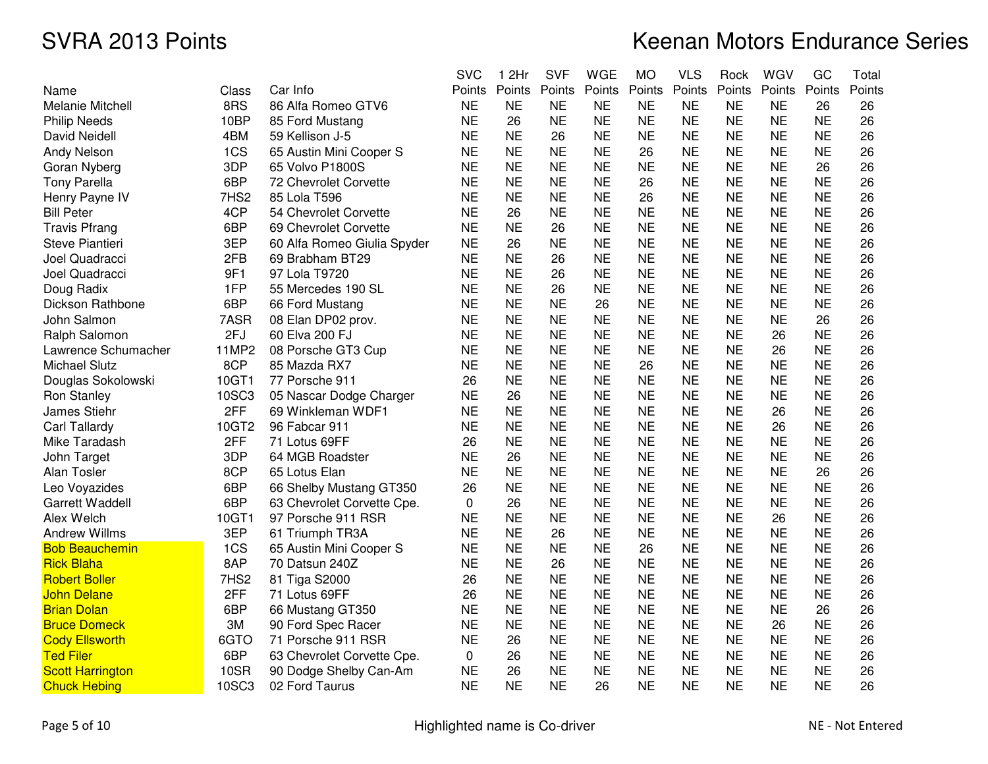|                         |                  |                             | <b>SVC</b> | 1 2Hr     | <b>SVF</b> | <b>WGE</b> | <b>MO</b> | <b>VLS</b> | Rock      | WGV       | GC        | Total  |
|-------------------------|------------------|-----------------------------|------------|-----------|------------|------------|-----------|------------|-----------|-----------|-----------|--------|
| Name                    | Class            | Car Info                    | Points     | Points    | Points     | Points     | Points    | Points     | Points    | Points    | Points    | Points |
| <b>Melanie Mitchell</b> | 8RS              | 86 Alfa Romeo GTV6          | <b>NE</b>  | <b>NE</b> | <b>NE</b>  | <b>NE</b>  | <b>NE</b> | <b>NE</b>  | <b>NE</b> | <b>NE</b> | 26        | 26     |
| <b>Philip Needs</b>     | 10BP             | 85 Ford Mustang             | <b>NE</b>  | 26        | <b>NE</b>  | <b>NE</b>  | <b>NE</b> | <b>NE</b>  | <b>NE</b> | <b>NE</b> | <b>NE</b> | 26     |
| David Neidell           | 4BM              | 59 Kellison J-5             | <b>NE</b>  | <b>NE</b> | 26         | <b>NE</b>  | <b>NE</b> | <b>NE</b>  | <b>NE</b> | <b>NE</b> | <b>NE</b> | 26     |
| <b>Andy Nelson</b>      | 1CS              | 65 Austin Mini Cooper S     | <b>NE</b>  | <b>NE</b> | <b>NE</b>  | <b>NE</b>  | 26        | <b>NE</b>  | <b>NE</b> | <b>NE</b> | <b>NE</b> | 26     |
| Goran Nyberg            | 3DP              | 65 Volvo P1800S             | <b>NE</b>  | <b>NE</b> | <b>NE</b>  | <b>NE</b>  | <b>NE</b> | <b>NE</b>  | <b>NE</b> | <b>NE</b> | 26        | 26     |
| <b>Tony Parella</b>     | 6BP              | 72 Chevrolet Corvette       | <b>NE</b>  | <b>NE</b> | <b>NE</b>  | <b>NE</b>  | 26        | <b>NE</b>  | <b>NE</b> | <b>NE</b> | <b>NE</b> | 26     |
| Henry Payne IV          | 7HS <sub>2</sub> | 85 Lola T596                | <b>NE</b>  | <b>NE</b> | <b>NE</b>  | <b>NE</b>  | 26        | <b>NE</b>  | <b>NE</b> | <b>NE</b> | <b>NE</b> | 26     |
| <b>Bill Peter</b>       | 4CP              | 54 Chevrolet Corvette       | <b>NE</b>  | 26        | <b>NE</b>  | <b>NE</b>  | <b>NE</b> | <b>NE</b>  | <b>NE</b> | <b>NE</b> | <b>NE</b> | 26     |
| <b>Travis Pfrang</b>    | 6BP              | 69 Chevrolet Corvette       | <b>NE</b>  | <b>NE</b> | 26         | <b>NE</b>  | <b>NE</b> | <b>NE</b>  | <b>NE</b> | <b>NE</b> | <b>NE</b> | 26     |
| Steve Piantieri         | 3EP              | 60 Alfa Romeo Giulia Spyder | <b>NE</b>  | 26        | <b>NE</b>  | <b>NE</b>  | <b>NE</b> | <b>NE</b>  | <b>NE</b> | <b>NE</b> | <b>NE</b> | 26     |
| Joel Quadracci          | 2FB              | 69 Brabham BT29             | <b>NE</b>  | <b>NE</b> | 26         | <b>NE</b>  | <b>NE</b> | <b>NE</b>  | <b>NE</b> | <b>NE</b> | <b>NE</b> | 26     |
| Joel Quadracci          | 9F1              | 97 Lola T9720               | <b>NE</b>  | <b>NE</b> | 26         | <b>NE</b>  | <b>NE</b> | <b>NE</b>  | <b>NE</b> | <b>NE</b> | <b>NE</b> | 26     |
| Doug Radix              | 1FP              | 55 Mercedes 190 SL          | <b>NE</b>  | <b>NE</b> | 26         | <b>NE</b>  | <b>NE</b> | <b>NE</b>  | <b>NE</b> | <b>NE</b> | <b>NE</b> | 26     |
| Dickson Rathbone        | 6BP              | 66 Ford Mustang             | <b>NE</b>  | <b>NE</b> | <b>NE</b>  | 26         | <b>NE</b> | <b>NE</b>  | <b>NE</b> | <b>NE</b> | <b>NE</b> | 26     |
| John Salmon             | 7ASR             | 08 Elan DP02 prov.          | <b>NE</b>  | <b>NE</b> | <b>NE</b>  | <b>NE</b>  | <b>NE</b> | <b>NE</b>  | <b>NE</b> | <b>NE</b> | 26        | 26     |
| Ralph Salomon           | 2FJ              | 60 Elva 200 FJ              | <b>NE</b>  | <b>NE</b> | <b>NE</b>  | <b>NE</b>  | <b>NE</b> | <b>NE</b>  | <b>NE</b> | 26        | <b>NE</b> | 26     |
| Lawrence Schumacher     | 11MP2            | 08 Porsche GT3 Cup          | <b>NE</b>  | <b>NE</b> | <b>NE</b>  | <b>NE</b>  | <b>NE</b> | <b>NE</b>  | <b>NE</b> | 26        | <b>NE</b> | 26     |
| <b>Michael Slutz</b>    | 8CP              | 85 Mazda RX7                | <b>NE</b>  | <b>NE</b> | <b>NE</b>  | <b>NE</b>  | 26        | <b>NE</b>  | <b>NE</b> | NΕ        | NE        | 26     |
| Douglas Sokolowski      | 10GT1            | 77 Porsche 911              | 26         | <b>NE</b> | <b>NE</b>  | <b>NE</b>  | <b>NE</b> | <b>NE</b>  | <b>NE</b> | <b>NE</b> | <b>NE</b> | 26     |
| Ron Stanley             | 10SC3            | 05 Nascar Dodge Charger     | <b>NE</b>  | 26        | <b>NE</b>  | <b>NE</b>  | <b>NE</b> | <b>NE</b>  | <b>NE</b> | <b>NE</b> | <b>NE</b> | 26     |
| James Stiehr            | 2FF              | 69 Winkleman WDF1           | <b>NE</b>  | <b>NE</b> | <b>NE</b>  | <b>NE</b>  | <b>NE</b> | <b>NE</b>  | <b>NE</b> | 26        | <b>NE</b> | 26     |
| Carl Tallardy           | 10GT2            | 96 Fabcar 911               | <b>NE</b>  | <b>NE</b> | <b>NE</b>  | <b>NE</b>  | <b>NE</b> | <b>NE</b>  | <b>NE</b> | 26        | <b>NE</b> | 26     |
| Mike Taradash           | 2FF              | 71 Lotus 69FF               | 26         | <b>NE</b> | <b>NE</b>  | <b>NE</b>  | <b>NE</b> | <b>NE</b>  | <b>NE</b> | <b>NE</b> | <b>NE</b> | 26     |
| John Target             | 3DP              | 64 MGB Roadster             | <b>NE</b>  | 26        | <b>NE</b>  | <b>NE</b>  | <b>NE</b> | <b>NE</b>  | <b>NE</b> | ΝE        | <b>NE</b> | 26     |
| Alan Tosler             | 8CP              | 65 Lotus Elan               | <b>NE</b>  | <b>NE</b> | <b>NE</b>  | <b>NE</b>  | <b>NE</b> | <b>NE</b>  | <b>NE</b> | <b>NE</b> | 26        | 26     |
| Leo Voyazides           | 6BP              | 66 Shelby Mustang GT350     | 26         | <b>NE</b> | <b>NE</b>  | <b>NE</b>  | <b>NE</b> | <b>NE</b>  | <b>NE</b> | <b>NE</b> | <b>NE</b> | 26     |
| <b>Garrett Waddell</b>  | 6BP              | 63 Chevrolet Corvette Cpe.  | 0          | 26        | <b>NE</b>  | <b>NE</b>  | <b>NE</b> | <b>NE</b>  | <b>NE</b> | <b>NE</b> | <b>NE</b> | 26     |
| Alex Welch              | 10GT1            | 97 Porsche 911 RSR          | <b>NE</b>  | <b>NE</b> | <b>NE</b>  | <b>NE</b>  | <b>NE</b> | <b>NE</b>  | <b>NE</b> | 26        | <b>NE</b> | 26     |
| <b>Andrew Willms</b>    | 3EP              | 61 Triumph TR3A             | <b>NE</b>  | <b>NE</b> | 26         | <b>NE</b>  | <b>NE</b> | <b>NE</b>  | <b>NE</b> | <b>NE</b> | <b>NE</b> | 26     |
| <b>Bob Beauchemin</b>   | 1CS              | 65 Austin Mini Cooper S     | <b>NE</b>  | <b>NE</b> | <b>NE</b>  | <b>NE</b>  | 26        | <b>NE</b>  | <b>NE</b> | <b>NE</b> | <b>NE</b> | 26     |
| <b>Rick Blaha</b>       | 8AP              | 70 Datsun 240Z              | <b>NE</b>  | <b>NE</b> | 26         | <b>NE</b>  | <b>NE</b> | <b>NE</b>  | <b>NE</b> | <b>NE</b> | <b>NE</b> | 26     |
| <b>Robert Boller</b>    | 7HS2             | 81 Tiga S2000               | 26         | <b>NE</b> | <b>NE</b>  | <b>NE</b>  | <b>NE</b> | <b>NE</b>  | <b>NE</b> | <b>NE</b> | <b>NE</b> | 26     |
| <b>John Delane</b>      | 2FF              | 71 Lotus 69FF               | 26         | <b>NE</b> | <b>NE</b>  | <b>NE</b>  | <b>NE</b> | <b>NE</b>  | <b>NE</b> | <b>NE</b> | <b>NE</b> | 26     |
| <b>Brian Dolan</b>      | 6BP              | 66 Mustang GT350            | <b>NE</b>  | <b>NE</b> | <b>NE</b>  | <b>NE</b>  | <b>NE</b> | <b>NE</b>  | <b>NE</b> | <b>NE</b> | 26        | 26     |
| <b>Bruce Domeck</b>     | 3M               | 90 Ford Spec Racer          | <b>NE</b>  | <b>NE</b> | <b>NE</b>  | <b>NE</b>  | <b>NE</b> | <b>NE</b>  | <b>NE</b> | 26        | <b>NE</b> | 26     |
| <b>Cody Ellsworth</b>   | 6GTO             | 71 Porsche 911 RSR          | <b>NE</b>  | 26        | <b>NE</b>  | <b>NE</b>  | <b>NE</b> | <b>NE</b>  | <b>NE</b> | <b>NE</b> | <b>NE</b> | 26     |
| <b>Ted Filer</b>        | 6BP              | 63 Chevrolet Corvette Cpe.  | 0          | 26        | <b>NE</b>  | <b>NE</b>  | <b>NE</b> | <b>NE</b>  | <b>NE</b> | <b>NE</b> | <b>NE</b> | 26     |
| <b>Scott Harrington</b> | <b>10SR</b>      | 90 Dodge Shelby Can-Am      | <b>NE</b>  | 26        | <b>NE</b>  | <b>NE</b>  | <b>NE</b> | <b>NE</b>  | <b>NE</b> | <b>NE</b> | <b>NE</b> | 26     |
| <b>Chuck Hebing</b>     | 10SC3            | 02 Ford Taurus              | <b>NE</b>  | <b>NE</b> | <b>NE</b>  | 26         | <b>NE</b> | <b>NE</b>  | <b>NE</b> | <b>NE</b> | <b>NE</b> | 26     |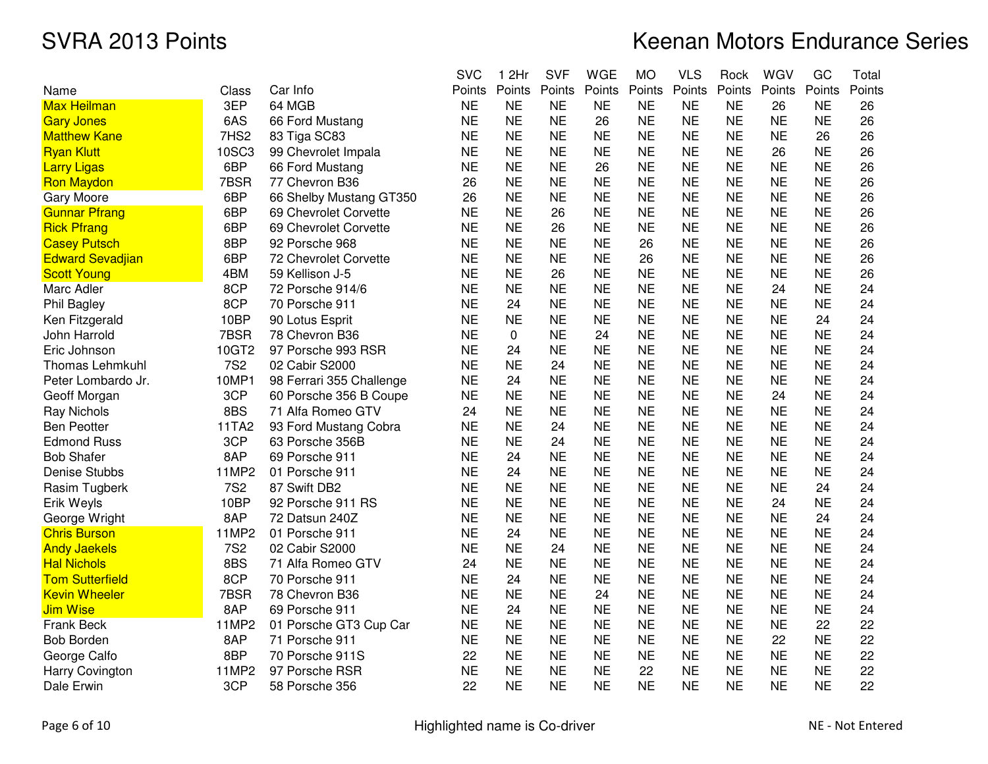|                         |              |                          | <b>SVC</b> | 1 2Hr     | <b>SVF</b> | <b>WGE</b> | <b>MO</b> | <b>VLS</b> | Rock      | WGV       | GC        | Total  |
|-------------------------|--------------|--------------------------|------------|-----------|------------|------------|-----------|------------|-----------|-----------|-----------|--------|
| Name                    | Class        | Car Info                 | Points     | Points    | Points     | Points     | Points    | Points     | Points    | Points    | Points    | Points |
| <b>Max Heilman</b>      | 3EP          | 64 MGB                   | <b>NE</b>  | <b>NE</b> | <b>NE</b>  | <b>NE</b>  | <b>NE</b> | <b>NE</b>  | <b>NE</b> | 26        | <b>NE</b> | 26     |
| <b>Gary Jones</b>       | 6AS          | 66 Ford Mustang          | <b>NE</b>  | <b>NE</b> | <b>NE</b>  | 26         | <b>NE</b> | <b>NE</b>  | <b>NE</b> | <b>NE</b> | <b>NE</b> | 26     |
| <b>Matthew Kane</b>     | 7HS2         | 83 Tiga SC83             | <b>NE</b>  | <b>NE</b> | <b>NE</b>  | <b>NE</b>  | <b>NE</b> | <b>NE</b>  | <b>NE</b> | <b>NE</b> | 26        | 26     |
| <b>Ryan Klutt</b>       | <b>10SC3</b> | 99 Chevrolet Impala      | <b>NE</b>  | <b>NE</b> | <b>NE</b>  | <b>NE</b>  | <b>NE</b> | <b>NE</b>  | <b>NE</b> | 26        | <b>NE</b> | 26     |
| <b>Larry Ligas</b>      | 6BP          | 66 Ford Mustang          | <b>NE</b>  | <b>NE</b> | <b>NE</b>  | 26         | <b>NE</b> | <b>NE</b>  | <b>NE</b> | <b>NE</b> | <b>NE</b> | 26     |
| <b>Ron Maydon</b>       | 7BSR         | 77 Chevron B36           | 26         | <b>NE</b> | <b>NE</b>  | <b>NE</b>  | <b>NE</b> | <b>NE</b>  | <b>NE</b> | <b>NE</b> | <b>NE</b> | 26     |
| <b>Gary Moore</b>       | 6BP          | 66 Shelby Mustang GT350  | 26         | <b>NE</b> | <b>NE</b>  | <b>NE</b>  | <b>NE</b> | <b>NE</b>  | <b>NE</b> | <b>NE</b> | ΝE        | 26     |
| <b>Gunnar Pfrang</b>    | 6BP          | 69 Chevrolet Corvette    | <b>NE</b>  | <b>NE</b> | 26         | <b>NE</b>  | <b>NE</b> | <b>NE</b>  | <b>NE</b> | <b>NE</b> | <b>NE</b> | 26     |
| <b>Rick Pfrang</b>      | 6BP          | 69 Chevrolet Corvette    | <b>NE</b>  | <b>NE</b> | 26         | <b>NE</b>  | <b>NE</b> | <b>NE</b>  | <b>NE</b> | <b>NE</b> | <b>NE</b> | 26     |
| <b>Casey Putsch</b>     | 8BP          | 92 Porsche 968           | <b>NE</b>  | <b>NE</b> | <b>NE</b>  | <b>NE</b>  | 26        | <b>NE</b>  | <b>NE</b> | <b>NE</b> | <b>NE</b> | 26     |
| <b>Edward Sevadjian</b> | 6BP          | 72 Chevrolet Corvette    | <b>NE</b>  | <b>NE</b> | <b>NE</b>  | <b>NE</b>  | 26        | <b>NE</b>  | <b>NE</b> | <b>NE</b> | <b>NE</b> | 26     |
| <b>Scott Young</b>      | 4BM          | 59 Kellison J-5          | <b>NE</b>  | <b>NE</b> | 26         | <b>NE</b>  | <b>NE</b> | <b>NE</b>  | <b>NE</b> | <b>NE</b> | <b>NE</b> | 26     |
| Marc Adler              | 8CP          | 72 Porsche 914/6         | <b>NE</b>  | <b>NE</b> | <b>NE</b>  | <b>NE</b>  | <b>NE</b> | <b>NE</b>  | <b>NE</b> | 24        | ΝE        | 24     |
| Phil Bagley             | 8CP          | 70 Porsche 911           | <b>NE</b>  | 24        | <b>NE</b>  | <b>NE</b>  | <b>NE</b> | <b>NE</b>  | <b>NE</b> | <b>NE</b> | <b>NE</b> | 24     |
| Ken Fitzgerald          | 10BP         | 90 Lotus Esprit          | <b>NE</b>  | <b>NE</b> | <b>NE</b>  | <b>NE</b>  | <b>NE</b> | <b>NE</b>  | <b>NE</b> | <b>NE</b> | 24        | 24     |
| John Harrold            | 7BSR         | 78 Chevron B36           | <b>NE</b>  | 0         | <b>NE</b>  | 24         | <b>NE</b> | <b>NE</b>  | <b>NE</b> | <b>NE</b> | <b>NE</b> | 24     |
| Eric Johnson            | 10GT2        | 97 Porsche 993 RSR       | <b>NE</b>  | 24        | <b>NE</b>  | <b>NE</b>  | <b>NE</b> | <b>NE</b>  | <b>NE</b> | <b>NE</b> | <b>NE</b> | 24     |
| <b>Thomas Lehmkuhl</b>  | <b>7S2</b>   | 02 Cabir S2000           | <b>NE</b>  | <b>NE</b> | 24         | <b>NE</b>  | <b>NE</b> | <b>NE</b>  | <b>NE</b> | <b>NE</b> | ΝE        | 24     |
| Peter Lombardo Jr.      | 10MP1        | 98 Ferrari 355 Challenge | <b>NE</b>  | 24        | <b>NE</b>  | <b>NE</b>  | <b>NE</b> | <b>NE</b>  | <b>NE</b> | <b>NE</b> | <b>NE</b> | 24     |
| Geoff Morgan            | 3CP          | 60 Porsche 356 B Coupe   | <b>NE</b>  | <b>NE</b> | <b>NE</b>  | <b>NE</b>  | <b>NE</b> | <b>NE</b>  | <b>NE</b> | 24        | <b>NE</b> | 24     |
| <b>Ray Nichols</b>      | 8BS          | 71 Alfa Romeo GTV        | 24         | <b>NE</b> | <b>NE</b>  | <b>NE</b>  | <b>NE</b> | <b>NE</b>  | <b>NE</b> | <b>NE</b> | <b>NE</b> | 24     |
| <b>Ben Peotter</b>      | 11TA2        | 93 Ford Mustang Cobra    | <b>NE</b>  | <b>NE</b> | 24         | <b>NE</b>  | <b>NE</b> | <b>NE</b>  | <b>NE</b> | <b>NE</b> | <b>NE</b> | 24     |
| <b>Edmond Russ</b>      | 3CP          | 63 Porsche 356B          | <b>NE</b>  | <b>NE</b> | 24         | <b>NE</b>  | <b>NE</b> | <b>NE</b>  | <b>NE</b> | <b>NE</b> | <b>NE</b> | 24     |
| <b>Bob Shafer</b>       | 8AP          | 69 Porsche 911           | <b>NE</b>  | 24        | <b>NE</b>  | <b>NE</b>  | <b>NE</b> | <b>NE</b>  | <b>NE</b> | NE        | ΝE        | 24     |
| <b>Denise Stubbs</b>    | 11MP2        | 01 Porsche 911           | <b>NE</b>  | 24        | <b>NE</b>  | <b>NE</b>  | <b>NE</b> | <b>NE</b>  | <b>NE</b> | <b>NE</b> | <b>NE</b> | 24     |
| Rasim Tugberk           | <b>7S2</b>   | 87 Swift DB2             | <b>NE</b>  | <b>NE</b> | <b>NE</b>  | <b>NE</b>  | <b>NE</b> | <b>NE</b>  | <b>NE</b> | <b>NE</b> | 24        | 24     |
| Erik Weyls              | 10BP         | 92 Porsche 911 RS        | <b>NE</b>  | <b>NE</b> | <b>NE</b>  | <b>NE</b>  | <b>NE</b> | <b>NE</b>  | <b>NE</b> | 24        | <b>NE</b> | 24     |
| George Wright           | 8AP          | 72 Datsun 240Z           | <b>NE</b>  | <b>NE</b> | <b>NE</b>  | <b>NE</b>  | <b>NE</b> | <b>NE</b>  | <b>NE</b> | <b>NE</b> | 24        | 24     |
| <b>Chris Burson</b>     | 11MP2        | 01 Porsche 911           | <b>NE</b>  | 24        | <b>NE</b>  | <b>NE</b>  | <b>NE</b> | <b>NE</b>  | <b>NE</b> | <b>NE</b> | <b>NE</b> | 24     |
| <b>Andy Jaekels</b>     | <b>7S2</b>   | 02 Cabir S2000           | <b>NE</b>  | NE        | 24         | <b>NE</b>  | NE        | <b>NE</b>  | <b>NE</b> | NE        | ΝE        | 24     |
| <b>Hal Nichols</b>      | 8BS          | 71 Alfa Romeo GTV        | 24         | <b>NE</b> | <b>NE</b>  | <b>NE</b>  | <b>NE</b> | <b>NE</b>  | <b>NE</b> | <b>NE</b> | <b>NE</b> | 24     |
| <b>Tom Sutterfield</b>  | 8CP          | 70 Porsche 911           | <b>NE</b>  | 24        | <b>NE</b>  | <b>NE</b>  | <b>NE</b> | <b>NE</b>  | <b>NE</b> | <b>NE</b> | <b>NE</b> | 24     |
| <b>Kevin Wheeler</b>    | 7BSR         | 78 Chevron B36           | <b>NE</b>  | <b>NE</b> | <b>NE</b>  | 24         | <b>NE</b> | <b>NE</b>  | <b>NE</b> | <b>NE</b> | <b>NE</b> | 24     |
| <b>Jim Wise</b>         | 8AP          | 69 Porsche 911           | <b>NE</b>  | 24        | <b>NE</b>  | <b>NE</b>  | <b>NE</b> | <b>NE</b>  | <b>NE</b> | <b>NE</b> | <b>NE</b> | 24     |
| Frank Beck              | 11MP2        | 01 Porsche GT3 Cup Car   | <b>NE</b>  | <b>NE</b> | <b>NE</b>  | <b>NE</b>  | <b>NE</b> | <b>NE</b>  | <b>NE</b> | <b>NE</b> | 22        | 22     |
| <b>Bob Borden</b>       | 8AP          | 71 Porsche 911           | <b>NE</b>  | <b>NE</b> | <b>NE</b>  | <b>NE</b>  | <b>NE</b> | <b>NE</b>  | <b>NE</b> | 22        | <b>NE</b> | 22     |
| George Calfo            | 8BP          | 70 Porsche 911S          | 22         | <b>NE</b> | <b>NE</b>  | <b>NE</b>  | <b>NE</b> | <b>NE</b>  | <b>NE</b> | <b>NE</b> | <b>NE</b> | 22     |
| Harry Covington         | 11MP2        | 97 Porsche RSR           | <b>NE</b>  | <b>NE</b> | <b>NE</b>  | <b>NE</b>  | 22        | <b>NE</b>  | <b>NE</b> | <b>NE</b> | <b>NE</b> | 22     |
| Dale Erwin              | 3CP          | 58 Porsche 356           | 22         | <b>NE</b> | <b>NE</b>  | <b>NE</b>  | <b>NE</b> | <b>NE</b>  | <b>NE</b> | <b>NE</b> | <b>NE</b> | 22     |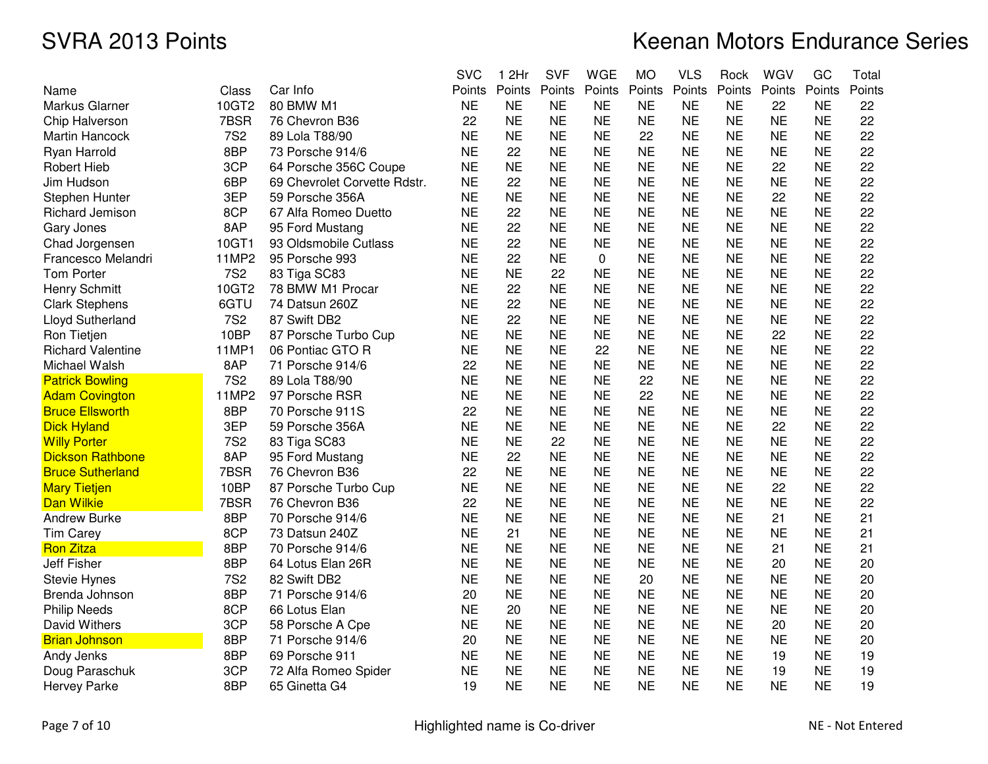|                          |            |                              | <b>SVC</b> | 1 2Hr     | <b>SVF</b> | <b>WGE</b> | <b>MO</b> | <b>VLS</b> | Rock      | WGV       | GC        | Total  |
|--------------------------|------------|------------------------------|------------|-----------|------------|------------|-----------|------------|-----------|-----------|-----------|--------|
| Name                     | Class      | Car Info                     | Points     | Points    | Points     | Points     | Points    | Points     | Points    | Points    | Points    | Points |
| Markus Glarner           | 10GT2      | 80 BMW M1                    | <b>NE</b>  | <b>NE</b> | <b>NE</b>  | <b>NE</b>  | <b>NE</b> | <b>NE</b>  | <b>NE</b> | 22        | <b>NE</b> | 22     |
| Chip Halverson           | 7BSR       | 76 Chevron B36               | 22         | <b>NE</b> | <b>NE</b>  | <b>NE</b>  | <b>NE</b> | <b>NE</b>  | <b>NE</b> | <b>NE</b> | <b>NE</b> | 22     |
| <b>Martin Hancock</b>    | <b>7S2</b> | 89 Lola T88/90               | <b>NE</b>  | <b>NE</b> | <b>NE</b>  | <b>NE</b>  | 22        | <b>NE</b>  | <b>NE</b> | <b>NE</b> | <b>NE</b> | 22     |
| Ryan Harrold             | 8BP        | 73 Porsche 914/6             | <b>NE</b>  | 22        | <b>NE</b>  | <b>NE</b>  | <b>NE</b> | <b>NE</b>  | <b>NE</b> | <b>NE</b> | <b>NE</b> | 22     |
| <b>Robert Hieb</b>       | 3CP        | 64 Porsche 356C Coupe        | <b>NE</b>  | <b>NE</b> | <b>NE</b>  | <b>NE</b>  | <b>NE</b> | <b>NE</b>  | <b>NE</b> | 22        | <b>NE</b> | 22     |
| Jim Hudson               | 6BP        | 69 Chevrolet Corvette Rdstr. | <b>NE</b>  | 22        | <b>NE</b>  | <b>NE</b>  | <b>NE</b> | <b>NE</b>  | <b>NE</b> | <b>NE</b> | <b>NE</b> | 22     |
| Stephen Hunter           | 3EP        | 59 Porsche 356A              | <b>NE</b>  | <b>NE</b> | <b>NE</b>  | <b>NE</b>  | <b>NE</b> | <b>NE</b>  | <b>NE</b> | 22        | ΝE        | 22     |
| Richard Jemison          | 8CP        | 67 Alfa Romeo Duetto         | <b>NE</b>  | 22        | <b>NE</b>  | <b>NE</b>  | <b>NE</b> | <b>NE</b>  | <b>NE</b> | <b>NE</b> | <b>NE</b> | 22     |
| Gary Jones               | 8AP        | 95 Ford Mustang              | <b>NE</b>  | 22        | <b>NE</b>  | <b>NE</b>  | <b>NE</b> | <b>NE</b>  | <b>NE</b> | <b>NE</b> | <b>NE</b> | 22     |
| Chad Jorgensen           | 10GT1      | 93 Oldsmobile Cutlass        | <b>NE</b>  | 22        | <b>NE</b>  | <b>NE</b>  | <b>NE</b> | <b>NE</b>  | <b>NE</b> | <b>NE</b> | <b>NE</b> | 22     |
| Francesco Melandri       | 11MP2      | 95 Porsche 993               | <b>NE</b>  | 22        | <b>NE</b>  | 0          | <b>NE</b> | <b>NE</b>  | <b>NE</b> | <b>NE</b> | <b>NE</b> | 22     |
| <b>Tom Porter</b>        | <b>7S2</b> | 83 Tiga SC83                 | <b>NE</b>  | <b>NE</b> | 22         | <b>NE</b>  | <b>NE</b> | <b>NE</b>  | <b>NE</b> | <b>NE</b> | <b>NE</b> | 22     |
| <b>Henry Schmitt</b>     | 10GT2      | 78 BMW M1 Procar             | <b>NE</b>  | 22        | <b>NE</b>  | <b>NE</b>  | <b>NE</b> | <b>NE</b>  | <b>NE</b> | <b>NE</b> | <b>NE</b> | 22     |
| <b>Clark Stephens</b>    | 6GTU       | 74 Datsun 260Z               | <b>NE</b>  | 22        | <b>NE</b>  | <b>NE</b>  | <b>NE</b> | <b>NE</b>  | <b>NE</b> | <b>NE</b> | <b>NE</b> | 22     |
| Lloyd Sutherland         | <b>7S2</b> | 87 Swift DB2                 | <b>NE</b>  | 22        | <b>NE</b>  | <b>NE</b>  | <b>NE</b> | <b>NE</b>  | <b>NE</b> | <b>NE</b> | <b>NE</b> | 22     |
| Ron Tietjen              | 10BP       | 87 Porsche Turbo Cup         | <b>NE</b>  | <b>NE</b> | <b>NE</b>  | <b>NE</b>  | <b>NE</b> | <b>NE</b>  | <b>NE</b> | 22        | <b>NE</b> | 22     |
| <b>Richard Valentine</b> | 11MP1      | 06 Pontiac GTO R             | <b>NE</b>  | <b>NE</b> | <b>NE</b>  | 22         | <b>NE</b> | <b>NE</b>  | <b>NE</b> | <b>NE</b> | <b>NE</b> | 22     |
| Michael Walsh            | 8AP        | 71 Porsche 914/6             | 22         | <b>NE</b> | <b>NE</b>  | <b>NE</b>  | <b>NE</b> | <b>NE</b>  | <b>NE</b> | <b>NE</b> | <b>NE</b> | 22     |
| <b>Patrick Bowling</b>   | <b>7S2</b> | 89 Lola T88/90               | <b>NE</b>  | <b>NE</b> | <b>NE</b>  | <b>NE</b>  | 22        | <b>NE</b>  | <b>NE</b> | <b>NE</b> | <b>NE</b> | 22     |
| <b>Adam Covington</b>    | 11MP2      | 97 Porsche RSR               | <b>NE</b>  | <b>NE</b> | <b>NE</b>  | <b>NE</b>  | 22        | <b>NE</b>  | <b>NE</b> | <b>NE</b> | <b>NE</b> | 22     |
| <b>Bruce Ellsworth</b>   | 8BP        | 70 Porsche 911S              | 22         | <b>NE</b> | <b>NE</b>  | <b>NE</b>  | <b>NE</b> | <b>NE</b>  | <b>NE</b> | <b>NE</b> | <b>NE</b> | 22     |
| <b>Dick Hyland</b>       | 3EP        | 59 Porsche 356A              | <b>NE</b>  | <b>NE</b> | <b>NE</b>  | <b>NE</b>  | <b>NE</b> | <b>NE</b>  | <b>NE</b> | 22        | <b>NE</b> | 22     |
| <b>Willy Porter</b>      | <b>7S2</b> | 83 Tiga SC83                 | <b>NE</b>  | <b>NE</b> | 22         | <b>NE</b>  | <b>NE</b> | <b>NE</b>  | <b>NE</b> | <b>NE</b> | <b>NE</b> | 22     |
| <b>Dickson Rathbone</b>  | 8AP        | 95 Ford Mustang              | <b>NE</b>  | 22        | <b>NE</b>  | <b>NE</b>  | <b>NE</b> | <b>NE</b>  | <b>NE</b> | <b>NE</b> | <b>NE</b> | 22     |
| <b>Bruce Sutherland</b>  | 7BSR       | 76 Chevron B36               | 22         | <b>NE</b> | <b>NE</b>  | <b>NE</b>  | <b>NE</b> | <b>NE</b>  | <b>NE</b> | <b>NE</b> | <b>NE</b> | 22     |
| <b>Mary Tietjen</b>      | 10BP       | 87 Porsche Turbo Cup         | <b>NE</b>  | <b>NE</b> | <b>NE</b>  | <b>NE</b>  | <b>NE</b> | <b>NE</b>  | <b>NE</b> | 22        | <b>NE</b> | 22     |
| <b>Dan Wilkie</b>        | 7BSR       | 76 Chevron B36               | 22         | <b>NE</b> | <b>NE</b>  | <b>NE</b>  | <b>NE</b> | <b>NE</b>  | <b>NE</b> | <b>NE</b> | <b>NE</b> | 22     |
| <b>Andrew Burke</b>      | 8BP        | 70 Porsche 914/6             | <b>NE</b>  | <b>NE</b> | <b>NE</b>  | <b>NE</b>  | <b>NE</b> | <b>NE</b>  | <b>NE</b> | 21        | <b>NE</b> | 21     |
| <b>Tim Carey</b>         | 8CP        | 73 Datsun 240Z               | <b>NE</b>  | 21        | <b>NE</b>  | <b>NE</b>  | <b>NE</b> | <b>NE</b>  | <b>NE</b> | <b>NE</b> | <b>NE</b> | 21     |
| <b>Ron Zitza</b>         | 8BP        | 70 Porsche 914/6             | <b>NE</b>  | <b>NE</b> | <b>NE</b>  | <b>NE</b>  | <b>NE</b> | <b>NE</b>  | <b>NE</b> | 21        | <b>NE</b> | 21     |
| Jeff Fisher              | 8BP        | 64 Lotus Elan 26R            | <b>NE</b>  | <b>NE</b> | <b>NE</b>  | <b>NE</b>  | <b>NE</b> | <b>NE</b>  | <b>NE</b> | 20        | <b>NE</b> | 20     |
| <b>Stevie Hynes</b>      | <b>7S2</b> | 82 Swift DB2                 | <b>NE</b>  | <b>NE</b> | <b>NE</b>  | <b>NE</b>  | 20        | <b>NE</b>  | <b>NE</b> | <b>NE</b> | <b>NE</b> | 20     |
| Brenda Johnson           | 8BP        | 71 Porsche 914/6             | 20         | <b>NE</b> | <b>NE</b>  | <b>NE</b>  | <b>NE</b> | <b>NE</b>  | <b>NE</b> | <b>NE</b> | <b>NE</b> | 20     |
| <b>Philip Needs</b>      | 8CP        | 66 Lotus Elan                | <b>NE</b>  | 20        | <b>NE</b>  | <b>NE</b>  | <b>NE</b> | <b>NE</b>  | <b>NE</b> | <b>NE</b> | <b>NE</b> | 20     |
| David Withers            | 3CP        | 58 Porsche A Cpe             | <b>NE</b>  | <b>NE</b> | <b>NE</b>  | <b>NE</b>  | <b>NE</b> | <b>NE</b>  | <b>NE</b> | 20        | <b>NE</b> | 20     |
| <b>Brian Johnson</b>     | 8BP        | 71 Porsche 914/6             | 20         | <b>NE</b> | <b>NE</b>  | <b>NE</b>  | <b>NE</b> | <b>NE</b>  | <b>NE</b> | <b>NE</b> | <b>NE</b> | 20     |
| Andy Jenks               | 8BP        | 69 Porsche 911               | <b>NE</b>  | <b>NE</b> | <b>NE</b>  | <b>NE</b>  | <b>NE</b> | <b>NE</b>  | <b>NE</b> | 19        | <b>NE</b> | 19     |
| Doug Paraschuk           | 3CP        | 72 Alfa Romeo Spider         | <b>NE</b>  | <b>NE</b> | <b>NE</b>  | <b>NE</b>  | <b>NE</b> | <b>NE</b>  | <b>NE</b> | 19        | <b>NE</b> | 19     |
| <b>Hervey Parke</b>      | 8BP        | 65 Ginetta G4                | 19         | <b>NE</b> | <b>NE</b>  | <b>NE</b>  | <b>NE</b> | <b>NE</b>  | <b>NE</b> | <b>NE</b> | <b>NE</b> | 19     |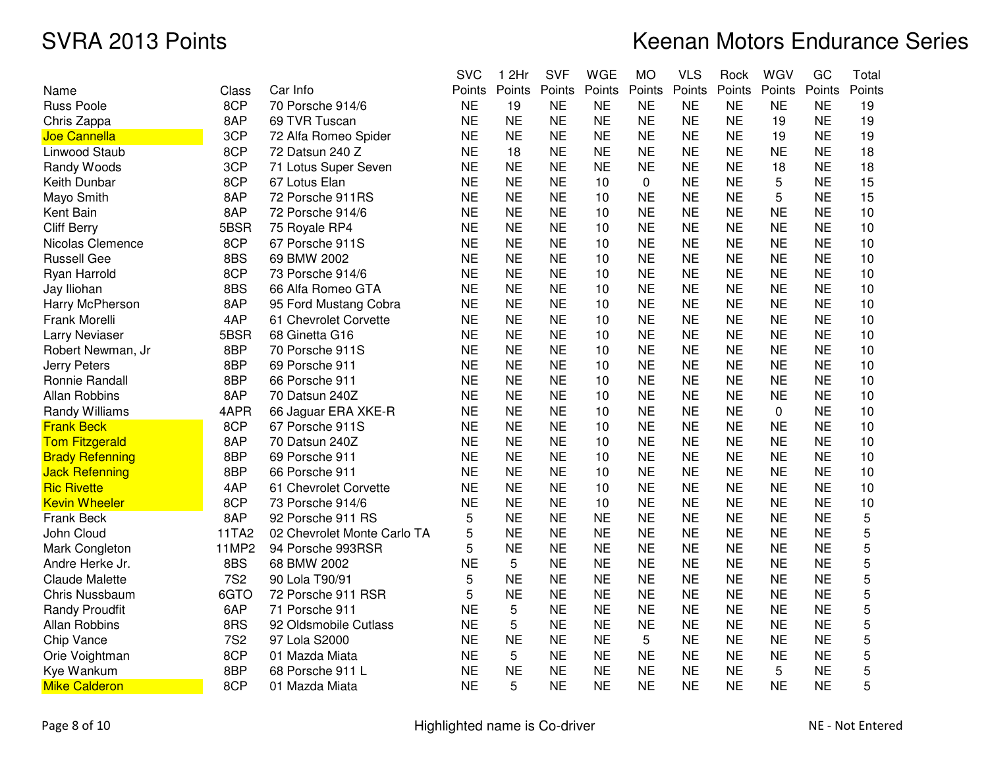|                        |            |                             | <b>SVC</b> | 1 2Hr     | <b>SVF</b> | <b>WGE</b> | <b>MO</b>    | <b>VLS</b> | Rock      | WGV       | GC        | Total  |
|------------------------|------------|-----------------------------|------------|-----------|------------|------------|--------------|------------|-----------|-----------|-----------|--------|
| Name                   | Class      | Car Info                    | Points     | Points    | Points     | Points     | Points       | Points     | Points    | Points    | Points    | Points |
| <b>Russ Poole</b>      | 8CP        | 70 Porsche 914/6            | <b>NE</b>  | 19        | NE         | <b>NE</b>  | <b>NE</b>    | <b>NE</b>  | <b>NE</b> | <b>NE</b> | <b>NE</b> | 19     |
| Chris Zappa            | 8AP        | 69 TVR Tuscan               | <b>NE</b>  | <b>NE</b> | <b>NE</b>  | <b>NE</b>  | <b>NE</b>    | <b>NE</b>  | <b>NE</b> | 19        | <b>NE</b> | 19     |
| Joe Cannella           | 3CP        | 72 Alfa Romeo Spider        | <b>NE</b>  | <b>NE</b> | <b>NE</b>  | <b>NE</b>  | <b>NE</b>    | <b>NE</b>  | <b>NE</b> | 19        | <b>NE</b> | 19     |
| Linwood Staub          | 8CP        | 72 Datsun 240 Z             | <b>NE</b>  | 18        | <b>NE</b>  | <b>NE</b>  | <b>NE</b>    | <b>NE</b>  | <b>NE</b> | <b>NE</b> | ΝE        | 18     |
| Randy Woods            | 3CP        | 71 Lotus Super Seven        | <b>NE</b>  | <b>NE</b> | <b>NE</b>  | <b>NE</b>  | <b>NE</b>    | <b>NE</b>  | <b>NE</b> | 18        | <b>NE</b> | 18     |
| Keith Dunbar           | 8CP        | 67 Lotus Elan               | <b>NE</b>  | <b>NE</b> | <b>NE</b>  | 10         | $\mathbf{0}$ | <b>NE</b>  | <b>NE</b> | 5         | <b>NE</b> | 15     |
| Mayo Smith             | 8AP        | 72 Porsche 911RS            | <b>NE</b>  | <b>NE</b> | <b>NE</b>  | 10         | <b>NE</b>    | <b>NE</b>  | <b>NE</b> | 5         | <b>NE</b> | 15     |
| Kent Bain              | 8AP        | 72 Porsche 914/6            | <b>NE</b>  | <b>NE</b> | <b>NE</b>  | 10         | <b>NE</b>    | <b>NE</b>  | <b>NE</b> | <b>NE</b> | <b>NE</b> | 10     |
| <b>Cliff Berry</b>     | 5BSR       | 75 Royale RP4               | <b>NE</b>  | <b>NE</b> | <b>NE</b>  | 10         | <b>NE</b>    | <b>NE</b>  | <b>NE</b> | <b>NE</b> | <b>NE</b> | 10     |
| Nicolas Clemence       | 8CP        | 67 Porsche 911S             | <b>NE</b>  | <b>NE</b> | <b>NE</b>  | 10         | <b>NE</b>    | <b>NE</b>  | <b>NE</b> | <b>NE</b> | <b>NE</b> | 10     |
| <b>Russell Gee</b>     | 8BS        | 69 BMW 2002                 | <b>NE</b>  | <b>NE</b> | <b>NE</b>  | 10         | <b>NE</b>    | <b>NE</b>  | <b>NE</b> | <b>NE</b> | <b>NE</b> | 10     |
| Ryan Harrold           | 8CP        | 73 Porsche 914/6            | <b>NE</b>  | <b>NE</b> | <b>NE</b>  | 10         | <b>NE</b>    | <b>NE</b>  | <b>NE</b> | <b>NE</b> | <b>NE</b> | 10     |
| Jay Iliohan            | 8BS        | 66 Alfa Romeo GTA           | <b>NE</b>  | <b>NE</b> | <b>NE</b>  | 10         | <b>NE</b>    | <b>NE</b>  | <b>NE</b> | <b>NE</b> | <b>NE</b> | 10     |
| Harry McPherson        | 8AP        | 95 Ford Mustang Cobra       | <b>NE</b>  | <b>NE</b> | <b>NE</b>  | 10         | <b>NE</b>    | <b>NE</b>  | <b>NE</b> | <b>NE</b> | <b>NE</b> | 10     |
| Frank Morelli          | 4AP        | 61 Chevrolet Corvette       | <b>NE</b>  | <b>NE</b> | <b>NE</b>  | 10         | <b>NE</b>    | <b>NE</b>  | <b>NE</b> | <b>NE</b> | <b>NE</b> | 10     |
| Larry Neviaser         | 5BSR       | 68 Ginetta G16              | <b>NE</b>  | <b>NE</b> | <b>NE</b>  | 10         | <b>NE</b>    | <b>NE</b>  | <b>NE</b> | <b>NE</b> | <b>NE</b> | 10     |
| Robert Newman, Jr      | 8BP        | 70 Porsche 911S             | <b>NE</b>  | <b>NE</b> | <b>NE</b>  | 10         | <b>NE</b>    | <b>NE</b>  | <b>NE</b> | <b>NE</b> | <b>NE</b> | 10     |
| Jerry Peters           | 8BP        | 69 Porsche 911              | <b>NE</b>  | <b>NE</b> | <b>NE</b>  | 10         | <b>NE</b>    | <b>NE</b>  | <b>NE</b> | <b>NE</b> | ΝE        | 10     |
| Ronnie Randall         | 8BP        | 66 Porsche 911              | <b>NE</b>  | <b>NE</b> | <b>NE</b>  | 10         | <b>NE</b>    | <b>NE</b>  | <b>NE</b> | <b>NE</b> | <b>NE</b> | 10     |
| <b>Allan Robbins</b>   | 8AP        | 70 Datsun 240Z              | <b>NE</b>  | <b>NE</b> | <b>NE</b>  | 10         | <b>NE</b>    | <b>NE</b>  | <b>NE</b> | <b>NE</b> | <b>NE</b> | 10     |
| Randy Williams         | 4APR       | 66 Jaguar ERA XKE-R         | <b>NE</b>  | <b>NE</b> | <b>NE</b>  | 10         | <b>NE</b>    | <b>NE</b>  | <b>NE</b> | 0         | <b>NE</b> | 10     |
| <b>Frank Beck</b>      | 8CP        | 67 Porsche 911S             | <b>NE</b>  | <b>NE</b> | <b>NE</b>  | 10         | <b>NE</b>    | <b>NE</b>  | <b>NE</b> | <b>NE</b> | <b>NE</b> | 10     |
| <b>Tom Fitzgerald</b>  | 8AP        | 70 Datsun 240Z              | <b>NE</b>  | <b>NE</b> | <b>NE</b>  | 10         | <b>NE</b>    | <b>NE</b>  | <b>NE</b> | <b>NE</b> | <b>NE</b> | 10     |
| <b>Brady Refenning</b> | 8BP        | 69 Porsche 911              | <b>NE</b>  | <b>NE</b> | <b>NE</b>  | 10         | <b>NE</b>    | <b>NE</b>  | <b>NE</b> | <b>NE</b> | <b>NE</b> | 10     |
| <b>Jack Refenning</b>  | 8BP        | 66 Porsche 911              | <b>NE</b>  | <b>NE</b> | <b>NE</b>  | 10         | <b>NE</b>    | <b>NE</b>  | <b>NE</b> | <b>NE</b> | <b>NE</b> | 10     |
| <b>Ric Rivette</b>     | 4AP        | 61 Chevrolet Corvette       | <b>NE</b>  | <b>NE</b> | <b>NE</b>  | 10         | <b>NE</b>    | <b>NE</b>  | <b>NE</b> | <b>NE</b> | <b>NE</b> | 10     |
| <b>Kevin Wheeler</b>   | 8CP        | 73 Porsche 914/6            | <b>NE</b>  | <b>NE</b> | <b>NE</b>  | 10         | <b>NE</b>    | <b>NE</b>  | <b>NE</b> | <b>NE</b> | <b>NE</b> | 10     |
| Frank Beck             | 8AP        | 92 Porsche 911 RS           | 5          | <b>NE</b> | <b>NE</b>  | <b>NE</b>  | <b>NE</b>    | <b>NE</b>  | <b>NE</b> | <b>NE</b> | <b>NE</b> | 5      |
| John Cloud             | 11TA2      | 02 Chevrolet Monte Carlo TA | 5          | <b>NE</b> | <b>NE</b>  | <b>NE</b>  | <b>NE</b>    | <b>NE</b>  | <b>NE</b> | <b>NE</b> | ΝE        | 5      |
| Mark Congleton         | 11MP2      | 94 Porsche 993RSR           | 5          | <b>NE</b> | <b>NE</b>  | <b>NE</b>  | <b>NE</b>    | <b>NE</b>  | <b>NE</b> | <b>NE</b> | <b>NE</b> | 5      |
| Andre Herke Jr.        | 8BS        | 68 BMW 2002                 | <b>NE</b>  | 5         | <b>NE</b>  | <b>NE</b>  | <b>NE</b>    | <b>NE</b>  | <b>NE</b> | <b>NE</b> | <b>NE</b> | 5      |
| <b>Claude Malette</b>  | <b>7S2</b> | 90 Lola T90/91              | 5          | <b>NE</b> | <b>NE</b>  | <b>NE</b>  | <b>NE</b>    | <b>NE</b>  | <b>NE</b> | <b>NE</b> | <b>NE</b> | 5      |
| <b>Chris Nussbaum</b>  | 6GTO       | 72 Porsche 911 RSR          | 5          | <b>NE</b> | <b>NE</b>  | <b>NE</b>  | <b>NE</b>    | <b>NE</b>  | <b>NE</b> | <b>NE</b> | <b>NE</b> | 5      |
| <b>Randy Proudfit</b>  | 6AP        | 71 Porsche 911              | <b>NE</b>  | 5         | <b>NE</b>  | <b>NE</b>  | <b>NE</b>    | <b>NE</b>  | <b>NE</b> | <b>NE</b> | <b>NE</b> | 5      |
| <b>Allan Robbins</b>   | 8RS        | 92 Oldsmobile Cutlass       | <b>NE</b>  | 5         | <b>NE</b>  | <b>NE</b>  | <b>NE</b>    | <b>NE</b>  | <b>NE</b> | <b>NE</b> | <b>NE</b> | 5      |
| Chip Vance             | <b>7S2</b> | 97 Lola S2000               | <b>NE</b>  | <b>NE</b> | <b>NE</b>  | <b>NE</b>  | 5            | <b>NE</b>  | <b>NE</b> | <b>NE</b> | <b>NE</b> | 5      |
| Orie Voightman         | 8CP        | 01 Mazda Miata              | <b>NE</b>  | 5         | <b>NE</b>  | <b>NE</b>  | <b>NE</b>    | <b>NE</b>  | <b>NE</b> | <b>NE</b> | <b>NE</b> | 5      |
| Kye Wankum             | 8BP        | 68 Porsche 911 L            | <b>NE</b>  | <b>NE</b> | <b>NE</b>  | <b>NE</b>  | <b>NE</b>    | <b>NE</b>  | <b>NE</b> | 5         | <b>NE</b> | 5      |
| <b>Mike Calderon</b>   | 8CP        | 01 Mazda Miata              | <b>NE</b>  | 5         | <b>NE</b>  | <b>NE</b>  | <b>NE</b>    | <b>NE</b>  | <b>NE</b> | <b>NE</b> | <b>NE</b> | 5      |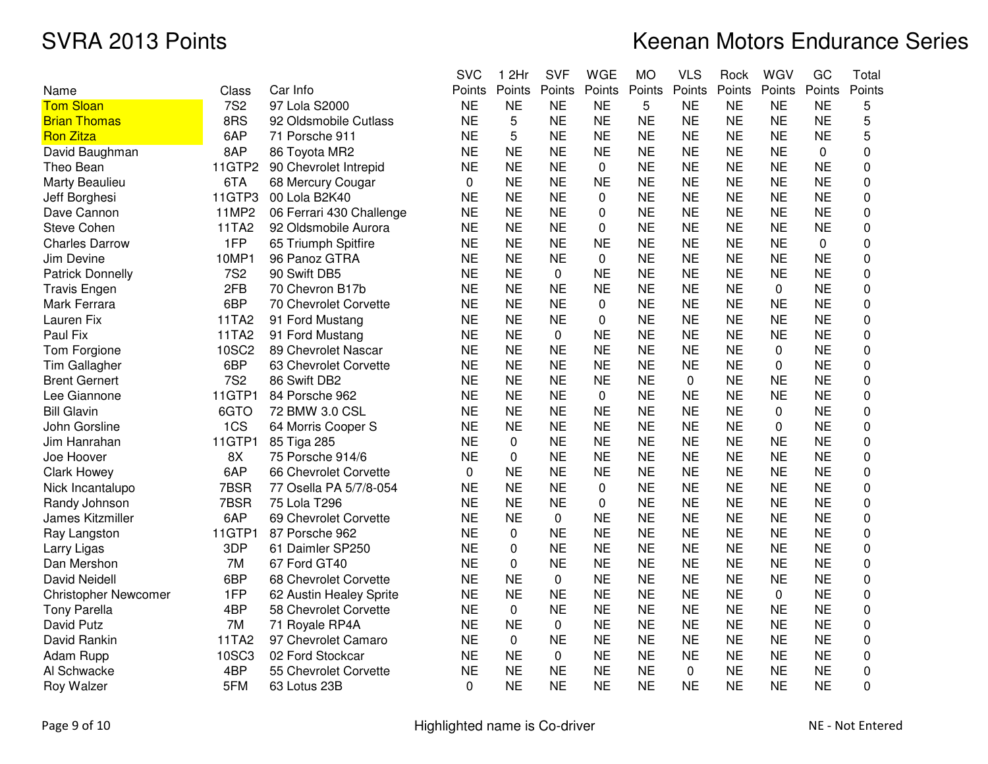# Keenan Motors Endurance Series

|                             |            |                          | <b>SVC</b> | 1 2Hr       | <b>SVF</b>  | <b>WGE</b> | <b>MO</b> | <b>VLS</b> | Rock      | WGV       | GC        | Total       |
|-----------------------------|------------|--------------------------|------------|-------------|-------------|------------|-----------|------------|-----------|-----------|-----------|-------------|
| Name                        | Class      | Car Info                 | Points     | Points      | Points      | Points     | Points    | Points     | Points    | Points    | Points    | Points      |
| <b>Tom Sloan</b>            | <b>7S2</b> | 97 Lola S2000            | <b>NE</b>  | <b>NE</b>   | <b>NE</b>   | <b>NE</b>  | 5         | <b>NE</b>  | <b>NE</b> | <b>NE</b> | <b>NE</b> | 5           |
| <b>Brian Thomas</b>         | 8RS        | 92 Oldsmobile Cutlass    | <b>NE</b>  | 5           | <b>NE</b>   | <b>NE</b>  | <b>NE</b> | <b>NE</b>  | <b>NE</b> | <b>NE</b> | <b>NE</b> | 5           |
| <b>Ron Zitza</b>            | 6AP        | 71 Porsche 911           | <b>NE</b>  | 5           | <b>NE</b>   | <b>NE</b>  | <b>NE</b> | <b>NE</b>  | <b>NE</b> | <b>NE</b> | <b>NE</b> | 5           |
| David Baughman              | 8AP        | 86 Toyota MR2            | <b>NE</b>  | <b>NE</b>   | <b>NE</b>   | <b>NE</b>  | <b>NE</b> | <b>NE</b>  | <b>NE</b> | <b>NE</b> | 0         | 0           |
| Theo Bean                   | 11GTP2     | 90 Chevrolet Intrepid    | <b>NE</b>  | <b>NE</b>   | <b>NE</b>   | 0          | <b>NE</b> | <b>NE</b>  | <b>NE</b> | <b>NE</b> | <b>NE</b> | 0           |
| Marty Beaulieu              | 6TA        | 68 Mercury Cougar        | $\Omega$   | <b>NE</b>   | <b>NE</b>   | <b>NE</b>  | <b>NE</b> | NE         | ΝE        | <b>NE</b> | <b>NE</b> | 0           |
| Jeff Borghesi               | 11GTP3     | 00 Lola B2K40            | <b>NE</b>  | <b>NE</b>   | <b>NE</b>   | 0          | <b>NE</b> | <b>NE</b>  | <b>NE</b> | <b>NE</b> | <b>NE</b> | 0           |
| Dave Cannon                 | 11MP2      | 06 Ferrari 430 Challenge | <b>NE</b>  | <b>NE</b>   | <b>NE</b>   | 0          | <b>NE</b> | <b>NE</b>  | <b>NE</b> | <b>NE</b> | <b>NE</b> | 0           |
| <b>Steve Cohen</b>          | 11TA2      | 92 Oldsmobile Aurora     | <b>NE</b>  | <b>NE</b>   | <b>NE</b>   | $\Omega$   | <b>NE</b> | <b>NE</b>  | <b>NE</b> | <b>NE</b> | <b>NE</b> | $\pmb{0}$   |
| <b>Charles Darrow</b>       | 1FP        | 65 Triumph Spitfire      | <b>NE</b>  | <b>NE</b>   | <b>NE</b>   | <b>NE</b>  | <b>NE</b> | <b>NE</b>  | <b>NE</b> | <b>NE</b> | 0         | 0           |
| Jim Devine                  | 10MP1      | 96 Panoz GTRA            | <b>NE</b>  | <b>NE</b>   | <b>NE</b>   | 0          | <b>NE</b> | <b>NE</b>  | <b>NE</b> | <b>NE</b> | <b>NE</b> | 0           |
| <b>Patrick Donnelly</b>     | <b>7S2</b> | 90 Swift DB5             | <b>NE</b>  | <b>NE</b>   | $\pmb{0}$   | <b>NE</b>  | <b>NE</b> | <b>NE</b>  | <b>NE</b> | <b>NE</b> | <b>NE</b> | 0           |
| <b>Travis Engen</b>         | 2FB        | 70 Chevron B17b          | <b>NE</b>  | <b>NE</b>   | <b>NE</b>   | <b>NE</b>  | <b>NE</b> | <b>NE</b>  | <b>NE</b> | 0         | <b>NE</b> | $\Omega$    |
| Mark Ferrara                | 6BP        | 70 Chevrolet Corvette    | <b>NE</b>  | <b>NE</b>   | <b>NE</b>   | 0          | <b>NE</b> | <b>NE</b>  | <b>NE</b> | <b>NE</b> | <b>NE</b> | 0           |
| Lauren Fix                  | 11TA2      | 91 Ford Mustang          | <b>NE</b>  | <b>NE</b>   | <b>NE</b>   | $\Omega$   | <b>NE</b> | <b>NE</b>  | <b>NE</b> | <b>NE</b> | <b>NE</b> | $\pmb{0}$   |
| Paul Fix                    | 11TA2      | 91 Ford Mustang          | <b>NE</b>  | <b>NE</b>   | $\mathbf 0$ | <b>NE</b>  | <b>NE</b> | <b>NE</b>  | <b>NE</b> | <b>NE</b> | <b>NE</b> | 0           |
| Tom Forgione                | 10SC2      | 89 Chevrolet Nascar      | <b>NE</b>  | <b>NE</b>   | <b>NE</b>   | <b>NE</b>  | <b>NE</b> | <b>NE</b>  | <b>NE</b> | 0         | <b>NE</b> | 0           |
| Tim Gallagher               | 6BP        | 63 Chevrolet Corvette    | <b>NE</b>  | <b>NE</b>   | <b>NE</b>   | <b>NE</b>  | <b>NE</b> | ΝE         | ΝE        | 0         | <b>NE</b> | 0           |
| <b>Brent Gernert</b>        | <b>7S2</b> | 86 Swift DB2             | <b>NE</b>  | <b>NE</b>   | <b>NE</b>   | <b>NE</b>  | <b>NE</b> | 0          | <b>NE</b> | <b>NE</b> | <b>NE</b> | $\Omega$    |
| Lee Giannone                | 11GTP1     | 84 Porsche 962           | <b>NE</b>  | <b>NE</b>   | <b>NE</b>   | 0          | <b>NE</b> | <b>NE</b>  | <b>NE</b> | <b>NE</b> | <b>NE</b> | 0           |
| <b>Bill Glavin</b>          | 6GTO       | 72 BMW 3.0 CSL           | <b>NE</b>  | <b>NE</b>   | <b>NE</b>   | <b>NE</b>  | <b>NE</b> | <b>NE</b>  | <b>NE</b> | 0         | <b>NE</b> | $\pmb{0}$   |
| John Gorsline               | 1CS        | 64 Morris Cooper S       | <b>NE</b>  | <b>NE</b>   | <b>NE</b>   | <b>NE</b>  | <b>NE</b> | <b>NE</b>  | <b>NE</b> | 0         | <b>NE</b> | $\mathbf 0$ |
| Jim Hanrahan                | 11GTP1     | 85 Tiga 285              | <b>NE</b>  | $\Omega$    | <b>NE</b>   | <b>NE</b>  | <b>NE</b> | <b>NE</b>  | <b>NE</b> | <b>NE</b> | <b>NE</b> | 0           |
| Joe Hoover                  | 8X         | 75 Porsche 914/6         | <b>NE</b>  | 0           | <b>NE</b>   | <b>NE</b>  | <b>NE</b> | <b>NE</b>  | <b>NE</b> | <b>NE</b> | <b>NE</b> | 0           |
| <b>Clark Howey</b>          | 6AP        | 66 Chevrolet Corvette    | 0          | <b>NE</b>   | <b>NE</b>   | <b>NE</b>  | <b>NE</b> | <b>NE</b>  | <b>NE</b> | <b>NE</b> | <b>NE</b> | $\Omega$    |
| Nick Incantalupo            | 7BSR       | 77 Osella PA 5/7/8-054   | <b>NE</b>  | <b>NE</b>   | <b>NE</b>   | 0          | <b>NE</b> | <b>NE</b>  | <b>NE</b> | <b>NE</b> | <b>NE</b> | 0           |
| Randy Johnson               | 7BSR       | 75 Lola T296             | <b>NE</b>  | <b>NE</b>   | <b>NE</b>   | 0          | <b>NE</b> | <b>NE</b>  | <b>NE</b> | <b>NE</b> | <b>NE</b> | $\pmb{0}$   |
| James Kitzmiller            | 6AP        | 69 Chevrolet Corvette    | <b>NE</b>  | <b>NE</b>   | $\mathbf 0$ | <b>NE</b>  | <b>NE</b> | <b>NE</b>  | <b>NE</b> | <b>NE</b> | <b>NE</b> | 0           |
| Ray Langston                | 11GTP1     | 87 Porsche 962           | <b>NE</b>  | 0           | <b>NE</b>   | <b>NE</b>  | <b>NE</b> | <b>NE</b>  | <b>NE</b> | <b>NE</b> | <b>NE</b> | 0           |
| Larry Ligas                 | 3DP        | 61 Daimler SP250         | <b>NE</b>  | 0           | <b>NE</b>   | <b>NE</b>  | <b>NE</b> | NE         | ΝE        | NE        | <b>NE</b> | 0           |
| Dan Mershon                 | 7M         | 67 Ford GT40             | <b>NE</b>  | $\Omega$    | <b>NE</b>   | <b>NE</b>  | <b>NE</b> | <b>NE</b>  | <b>NE</b> | <b>NE</b> | <b>NE</b> | $\Omega$    |
| David Neidell               | 6BP        | 68 Chevrolet Corvette    | <b>NE</b>  | <b>NE</b>   | $\mathbf 0$ | <b>NE</b>  | <b>NE</b> | <b>NE</b>  | <b>NE</b> | <b>NE</b> | <b>NE</b> | 0           |
| <b>Christopher Newcomer</b> | 1FP        | 62 Austin Healey Sprite  | <b>NE</b>  | <b>NE</b>   | <b>NE</b>   | <b>NE</b>  | <b>NE</b> | <b>NE</b>  | <b>NE</b> | 0         | <b>NE</b> | 0           |
| <b>Tony Parella</b>         | 4BP        | 58 Chevrolet Corvette    | <b>NE</b>  | $\mathbf 0$ | <b>NE</b>   | <b>NE</b>  | <b>NE</b> | <b>NE</b>  | <b>NE</b> | <b>NE</b> | <b>NE</b> | $\mathbf 0$ |
| David Putz                  | 7M         | 71 Royale RP4A           | <b>NE</b>  | <b>NE</b>   | 0           | <b>NE</b>  | <b>NE</b> | <b>NE</b>  | <b>NE</b> | <b>NE</b> | <b>NE</b> | 0           |
| David Rankin                | 11TA2      | 97 Chevrolet Camaro      | <b>NE</b>  | 0           | <b>NE</b>   | <b>NE</b>  | <b>NE</b> | NE         | ΝE        | NE        | <b>NE</b> | 0           |
| Adam Rupp                   | 10SC3      | 02 Ford Stockcar         | <b>NE</b>  | <b>NE</b>   | 0           | <b>NE</b>  | <b>NE</b> | <b>NE</b>  | <b>NE</b> | <b>NE</b> | <b>NE</b> | $\Omega$    |
| Al Schwacke                 | 4BP        | 55 Chevrolet Corvette    | <b>NE</b>  | <b>NE</b>   | <b>NE</b>   | <b>NE</b>  | <b>NE</b> | 0          | <b>NE</b> | <b>NE</b> | <b>NE</b> | 0           |
| Roy Walzer                  | 5FM        | 63 Lotus 23B             | 0          | <b>NE</b>   | <b>NE</b>   | <b>NE</b>  | <b>NE</b> | <b>NE</b>  | <b>NE</b> | <b>NE</b> | <b>NE</b> | 0           |

Page 9 of 10